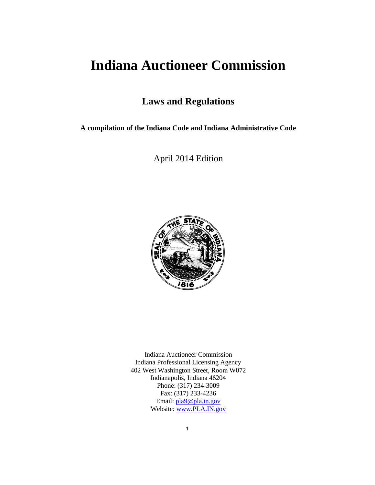# **Indiana Auctioneer Commission**

## **Laws and Regulations**

**A compilation of the Indiana Code and Indiana Administrative Code**

April 2014 Edition



Indiana Auctioneer Commission Indiana Professional Licensing Agency 402 West Washington Street, Room W072 Indianapolis, Indiana 46204 Phone: (317) 234-3009 Fax: (317) 233-4236 Email: [pla9@pla.in.gov](mailto:pla9@pla.in.gov) Website: [www.PLA.IN.gov](http://www.pla.in.gov/)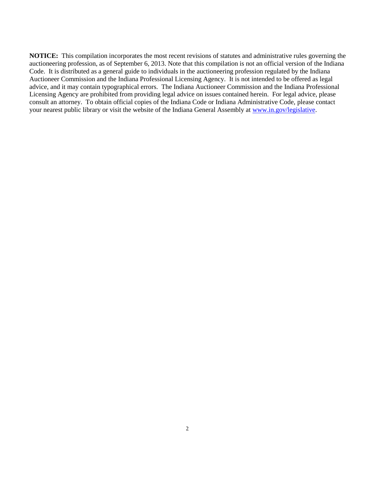**NOTICE:** This compilation incorporates the most recent revisions of statutes and administrative rules governing the auctioneering profession, as of September 6, 2013. Note that this compilation is not an official version of the Indiana Code. It is distributed as a general guide to individuals in the auctioneering profession regulated by the Indiana Auctioneer Commission and the Indiana Professional Licensing Agency. It is not intended to be offered as legal advice, and it may contain typographical errors. The Indiana Auctioneer Commission and the Indiana Professional Licensing Agency are prohibited from providing legal advice on issues contained herein. For legal advice, please consult an attorney. To obtain official copies of the Indiana Code or Indiana Administrative Code, please contact your nearest public library or visit the website of the Indiana General Assembly at [www.in.gov/legislative.](http://www.in.gov/legislative)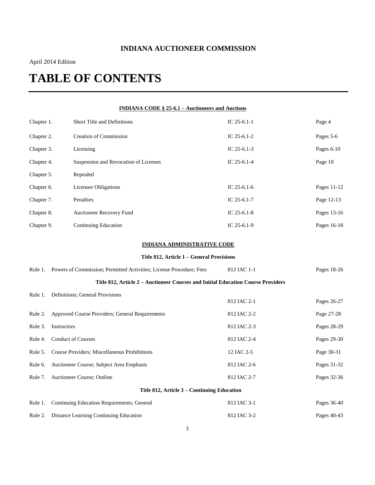## **INDIANA AUCTIONEER COMMISSION**

## April 2014 Edition

# **TABLE OF CONTENTS**

| <b>INDIANA CODE § 25-6.1 – Auctioneers and Auctions</b> |             |                                                                                  |               |              |  |  |
|---------------------------------------------------------|-------------|----------------------------------------------------------------------------------|---------------|--------------|--|--|
| Chapter 1.                                              |             | Short Title and Definitions                                                      | IC $25-6.1-1$ | Page 4       |  |  |
| Chapter 2.                                              |             | Creation of Commission                                                           | IC $25-6.1-2$ | Pages 5-6    |  |  |
| Chapter 3.                                              |             | Licensing                                                                        | IC $25-6.1-3$ | Pages $6-10$ |  |  |
| Chapter 4.                                              |             | Suspension and Revocation of Licenses                                            | IC $25-6.1-4$ | Page 10      |  |  |
| Chapter 5.                                              |             | Repealed                                                                         |               |              |  |  |
| Chapter 6.                                              |             | Licensee Obligations                                                             | IC $25-6.1-6$ | Pages 11-12  |  |  |
| Chapter 7.                                              |             | Penalties                                                                        | IC $25-6.1-7$ | Page 12-13   |  |  |
| Chapter 8.                                              |             | Auctioneer Recovery Fund                                                         | IC $25-6.1-8$ | Pages 13-16  |  |  |
| Chapter 9.                                              |             | Continuing Education                                                             | IC $25-6.1-9$ | Pages 16-18  |  |  |
|                                                         |             | <b>INDIANA ADMINISTRATIVE CODE</b>                                               |               |              |  |  |
|                                                         |             | Title 812, Article 1 - General Provisions                                        |               |              |  |  |
| Rule 1.                                                 |             | Powers of Commission; Permitted Activities; License Procedure; Fees              | 812 IAC 1-1   | Pages 18-26  |  |  |
|                                                         |             | Title 812, Article 2 - Auctioneer Courses and Initial Education Course Providers |               |              |  |  |
| Rule 1.                                                 |             | Definitions; General Provisions                                                  | 812 IAC 2-1   | Pages 26-27  |  |  |
| Rule 2.                                                 |             | Approved Course Providers; General Requirements                                  | 812 IAC 2-2   | Page 27-28   |  |  |
| Rule 3.                                                 | Instructors |                                                                                  | 812 IAC 2-3   | Pages 28-29  |  |  |
| Rule 4.                                                 |             | <b>Conduct of Courses</b>                                                        | 812 IAC 2-4   | Pages 29-30  |  |  |
| Rule 5.                                                 |             | Course Providers; Miscellaneous Prohibitions                                     | 12 IAC 2-5    | Page 30-31   |  |  |
| Rule 6.                                                 |             | Auctioneer Course; Subject Area Emphasis                                         | 812 IAC 2-6   | Pages 31-32  |  |  |
| Rule 7.                                                 |             | Auctioneer Course; Outline                                                       | 812 IAC 2-7   | Pages 32-36  |  |  |
| Title 812, Article 3 - Continuing Education             |             |                                                                                  |               |              |  |  |
| Rule 1.                                                 |             | Continuing Education Requirements; General                                       | 812 IAC 3-1   | Pages 36-40  |  |  |
| Rule 2.                                                 |             | Distance Learning Continuing Education                                           | 812 IAC 3-2   | Pages 40-43  |  |  |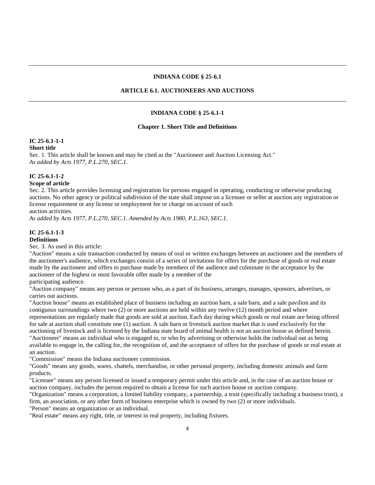#### **INDIANA CODE § 25-6.1**

### **ARTICLE 6.1. AUCTIONEERS AND AUCTIONS**

#### **INDIANA CODE § 25-6.1-1**

#### **Chapter 1. Short Title and Definitions**

#### **IC 25-6.1-1-1**

#### **Short title**

Sec. 1. This article shall be known and may be cited as the "Auctioneer and Auction Licensing Act." *As added by Acts 1977, P.L.270, SEC.1.*

### **IC 25-6.1-1-2**

### **Scope of article**

Sec. 2. This article provides licensing and registration for persons engaged in operating, conducting or otherwise producing auctions. No other agency or political subdivision of the state shall impose on a licensee or seller at auction any registration or license requirement or any license or employment fee or charge on account of such auction activities.

*As added by Acts 1977, P.L.270, SEC.1. Amended by Acts 1980, P.L.163, SEC.1.*

#### **IC 25-6.1-1-3 Definitions**

Sec. 3. As used in this article:

"Auction" means a sale transaction conducted by means of oral or written exchanges between an auctioneer and the members of the auctioneer's audience, which exchanges consist of a series of invitations for offers for the purchase of goods or real estate made by the auctioneer and offers to purchase made by members of the audience and culminate in the acceptance by the auctioneer of the highest or most favorable offer made by a member of the

### participating audience.

"Auction company" means any person or persons who, as a part of its business, arranges, manages, sponsors, advertises, or carries out auctions.

"Auction house" means an established place of business including an auction barn, a sale barn, and a sale pavilion and its contiguous surroundings where two (2) or more auctions are held within any twelve (12) month period and where representations are regularly made that goods are sold at auction. Each day during which goods or real estate are being offered for sale at auction shall constitute one (1) auction. A sale barn or livestock auction market that is used exclusively for the auctioning of livestock and is licensed by the Indiana state board of animal health is not an auction house as defined herein. "Auctioneer" means an individual who is engaged in, or who by advertising or otherwise holds the individual out as being available to engage in, the calling for, the recognition of, and the acceptance of offers for the purchase of goods or real estate at an auction.

"Commission" means the Indiana auctioneer commission.

"Goods" means any goods, wares, chattels, merchandise, or other personal property, including domestic animals and farm products.

"Licensee" means any person licensed or issued a temporary permit under this article and, in the case of an auction house or auction company, includes the person required to obtain a license for such auction house or auction company.

"Organization" means a corporation, a limited liability company, a partnership, a trust (specifically including a business trust), a firm, an association, or any other form of business enterprise which is owned by two (2) or more individuals.

"Person" means an organization or an individual.

"Real estate" means any right, title, or interest in real property, including fixtures.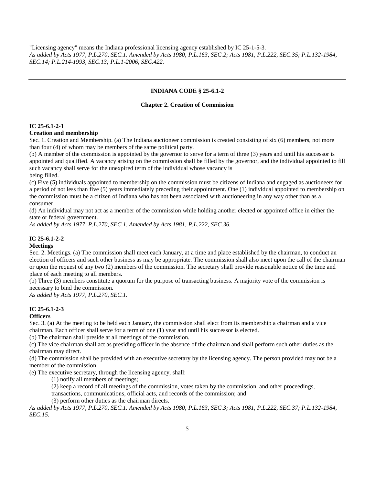"Licensing agency" means the Indiana professional licensing agency established by IC 25-1-5-3. *As added by Acts 1977, P.L.270, SEC.1. Amended by Acts 1980, P.L.163, SEC.2; Acts 1981, P.L.222, SEC.35; P.L.132-1984, SEC.14; P.L.214-1993, SEC.13; P.L.1-2006, SEC.422.*

#### **INDIANA CODE § 25-6.1-2**

#### **Chapter 2. Creation of Commission**

### **IC 25-6.1-2-1**

#### **Creation and membership**

Sec. 1. Creation and Membership. (a) The Indiana auctioneer commission is created consisting of six (6) members, not more than four (4) of whom may be members of the same political party.

(b) A member of the commission is appointed by the governor to serve for a term of three (3) years and until his successor is appointed and qualified. A vacancy arising on the commission shall be filled by the governor, and the individual appointed to fill such vacancy shall serve for the unexpired term of the individual whose vacancy is being filled.

(c) Five (5) individuals appointed to membership on the commission must be citizens of Indiana and engaged as auctioneers for a period of not less than five (5) years immediately preceding their appointment. One (1) individual appointed to membership on the commission must be a citizen of Indiana who has not been associated with auctioneering in any way other than as a consumer.

(d) An individual may not act as a member of the commission while holding another elected or appointed office in either the state or federal government.

*As added by Acts 1977, P.L.270, SEC.1. Amended by Acts 1981, P.L.222, SEC.36.*

### **IC 25-6.1-2-2**

### **Meetings**

Sec. 2. Meetings. (a) The commission shall meet each January, at a time and place established by the chairman, to conduct an election of officers and such other business as may be appropriate. The commission shall also meet upon the call of the chairman or upon the request of any two (2) members of the commission. The secretary shall provide reasonable notice of the time and place of each meeting to all members.

(b) Three (3) members constitute a quorum for the purpose of transacting business. A majority vote of the commission is necessary to bind the commission.

*As added by Acts 1977, P.L.270, SEC.1.*

### **IC 25-6.1-2-3**

### **Officers**

Sec. 3. (a) At the meeting to be held each January, the commission shall elect from its membership a chairman and a vice chairman. Each officer shall serve for a term of one (1) year and until his successor is elected.

(b) The chairman shall preside at all meetings of the commission.

(c) The vice chairman shall act as presiding officer in the absence of the chairman and shall perform such other duties as the chairman may direct.

(d) The commission shall be provided with an executive secretary by the licensing agency. The person provided may not be a member of the commission.

(e) The executive secretary, through the licensing agency, shall:

(1) notify all members of meetings;

(2) keep a record of all meetings of the commission, votes taken by the commission, and other proceedings,

transactions, communications, official acts, and records of the commission; and

(3) perform other duties as the chairman directs.

*As added by Acts 1977, P.L.270, SEC.1. Amended by Acts 1980, P.L.163, SEC.3; Acts 1981, P.L.222, SEC.37; P.L.132-1984, SEC.15.*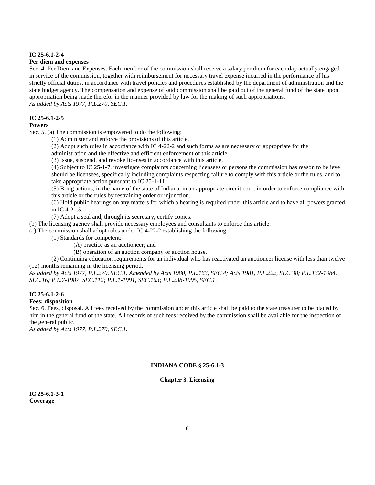#### **IC 25-6.1-2-4**

#### **Per diem and expenses**

Sec. 4. Per Diem and Expenses. Each member of the commission shall receive a salary per diem for each day actually engaged in service of the commission, together with reimbursement for necessary travel expense incurred in the performance of his strictly official duties, in accordance with travel policies and procedures established by the department of administration and the state budget agency. The compensation and expense of said commission shall be paid out of the general fund of the state upon appropriation being made therefor in the manner provided by law for the making of such appropriations. *As added by Acts 1977, P.L.270, SEC.1.*

#### **IC 25-6.1-2-5**

### **Powers**

Sec. 5. (a) The commission is empowered to do the following:

- (1) Administer and enforce the provisions of this article.
- (2) Adopt such rules in accordance with IC 4-22-2 and such forms as are necessary or appropriate for the

administration and the effective and efficient enforcement of this article.

(3) Issue, suspend, and revoke licenses in accordance with this article.

(4) Subject to IC 25-1-7, investigate complaints concerning licensees or persons the commission has reason to believe should be licensees, specifically including complaints respecting failure to comply with this article or the rules, and to take appropriate action pursuant to IC 25-1-11.

(5) Bring actions, in the name of the state of Indiana, in an appropriate circuit court in order to enforce compliance with this article or the rules by restraining order or injunction.

(6) Hold public hearings on any matters for which a hearing is required under this article and to have all powers granted in IC 4-21.5.

(7) Adopt a seal and, through its secretary, certify copies.

(b) The licensing agency shall provide necessary employees and consultants to enforce this article.

(c) The commission shall adopt rules under IC 4-22-2 establishing the following:

(1) Standards for competent:

(A) practice as an auctioneer; and

(B) operation of an auction company or auction house.

(2) Continuing education requirements for an individual who has reactivated an auctioneer license with less than twelve (12) months remaining in the licensing period.

*As added by Acts 1977, P.L.270, SEC.1. Amended by Acts 1980, P.L.163, SEC.4; Acts 1981, P.L.222, SEC.38; P.L.132-1984, SEC.16; P.L.7-1987, SEC.112; P.L.1-1991, SEC.163; P.L.238-1995, SEC.1.*

### **IC 25-6.1-2-6**

#### **Fees; disposition**

Sec. 6. Fees, disposal. All fees received by the commission under this article shall be paid to the state treasurer to be placed by him in the general fund of the state. All records of such fees received by the commission shall be available for the inspection of the general public.

*As added by Acts 1977, P.L.270, SEC.1.*

### **INDIANA CODE § 25-6.1-3**

#### **Chapter 3. Licensing**

**IC 25-6.1-3-1 Coverage**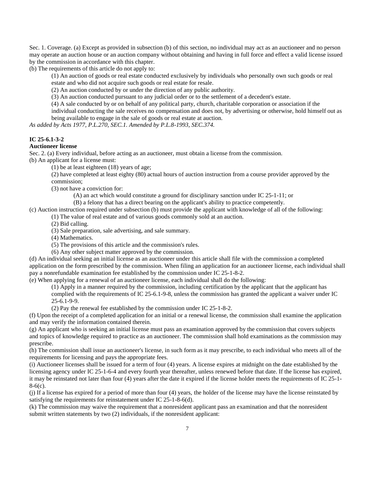Sec. 1. Coverage. (a) Except as provided in subsection (b) of this section, no individual may act as an auctioneer and no person may operate an auction house or an auction company without obtaining and having in full force and effect a valid license issued by the commission in accordance with this chapter.

(b) The requirements of this article do not apply to:

(1) An auction of goods or real estate conducted exclusively by individuals who personally own such goods or real estate and who did not acquire such goods or real estate for resale.

(2) An auction conducted by or under the direction of any public authority.

(3) An auction conducted pursuant to any judicial order or to the settlement of a decedent's estate.

(4) A sale conducted by or on behalf of any political party, church, charitable corporation or association if the

individual conducting the sale receives no compensation and does not, by advertising or otherwise, hold himself out as being available to engage in the sale of goods or real estate at auction.

*As added by Acts 1977, P.L.270, SEC.1. Amended by P.L.8-1993, SEC.374.*

### **IC 25-6.1-3-2**

### **Auctioneer license**

Sec. 2. (a) Every individual, before acting as an auctioneer, must obtain a license from the commission. (b) An applicant for a license must:

(1) be at least eighteen (18) years of age;

(2) have completed at least eighty (80) actual hours of auction instruction from a course provider approved by the commission;

(3) not have a conviction for:

(A) an act which would constitute a ground for disciplinary sanction under IC 25-1-11; or

(B) a felony that has a direct bearing on the applicant's ability to practice competently.

(c) Auction instruction required under subsection (b) must provide the applicant with knowledge of all of the following:

(1) The value of real estate and of various goods commonly sold at an auction.

(2) Bid calling.

(3) Sale preparation, sale advertising, and sale summary.

(4) Mathematics.

(5) The provisions of this article and the commission's rules.

(6) Any other subject matter approved by the commission.

(d) An individual seeking an initial license as an auctioneer under this article shall file with the commission a completed application on the form prescribed by the commission. When filing an application for an auctioneer license, each individual shall pay a nonrefundable examination fee established by the commission under IC 25-1-8-2.

(e) When applying for a renewal of an auctioneer license, each individual shall do the following:

(1) Apply in a manner required by the commission, including certification by the applicant that the applicant has complied with the requirements of IC 25-6.1-9-8, unless the commission has granted the applicant a waiver under IC 25-6.1-9-9.

(2) Pay the renewal fee established by the commission under IC 25-1-8-2.

(f) Upon the receipt of a completed application for an initial or a renewal license, the commission shall examine the application and may verify the information contained therein.

(g) An applicant who is seeking an initial license must pass an examination approved by the commission that covers subjects and topics of knowledge required to practice as an auctioneer. The commission shall hold examinations as the commission may prescribe.

(h) The commission shall issue an auctioneer's license, in such form as it may prescribe, to each individual who meets all of the requirements for licensing and pays the appropriate fees.

(i) Auctioneer licenses shall be issued for a term of four (4) years. A license expires at midnight on the date established by the licensing agency under IC 25-1-6-4 and every fourth year thereafter, unless renewed before that date. If the license has expired, it may be reinstated not later than four (4) years after the date it expired if the license holder meets the requirements of IC 25-1- 8-6(c).

(j) If a license has expired for a period of more than four (4) years, the holder of the license may have the license reinstated by satisfying the requirements for reinstatement under IC 25-1-8-6(d).

(k) The commission may waive the requirement that a nonresident applicant pass an examination and that the nonresident submit written statements by two (2) individuals, if the nonresident applicant: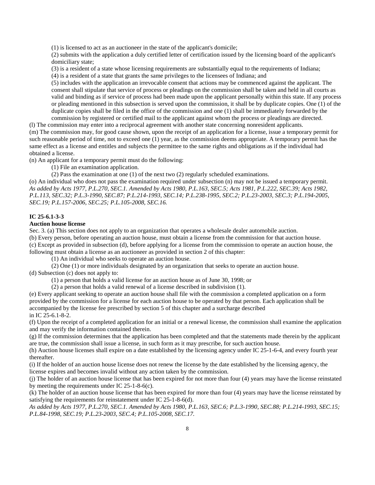(1) is licensed to act as an auctioneer in the state of the applicant's domicile;

(2) submits with the application a duly certified letter of certification issued by the licensing board of the applicant's domiciliary state;

(3) is a resident of a state whose licensing requirements are substantially equal to the requirements of Indiana;

(4) is a resident of a state that grants the same privileges to the licensees of Indiana; and

(5) includes with the application an irrevocable consent that actions may be commenced against the applicant. The consent shall stipulate that service of process or pleadings on the commission shall be taken and held in all courts as valid and binding as if service of process had been made upon the applicant personally within this state. If any process or pleading mentioned in this subsection is served upon the commission, it shall be by duplicate copies. One (1) of the duplicate copies shall be filed in the office of the commission and one (1) shall be immediately forwarded by the commission by registered or certified mail to the applicant against whom the process or pleadings are directed.

(l) The commission may enter into a reciprocal agreement with another state concerning nonresident applicants. (m) The commission may, for good cause shown, upon the receipt of an application for a license, issue a temporary permit for such reasonable period of time, not to exceed one (1) year, as the commission deems appropriate. A temporary permit has the same effect as a license and entitles and subjects the permittee to the same rights and obligations as if the individual had obtained a license.

(n) An applicant for a temporary permit must do the following:

(1) File an examination application.

(2) Pass the examination at one (1) of the next two (2) regularly scheduled examinations.

(o) An individual who does not pass the examination required under subsection (n) may not be issued a temporary permit. *As added by Acts 1977, P.L.270, SEC.1. Amended by Acts 1980, P.L.163, SEC.5; Acts 1981, P.L.222, SEC.39; Acts 1982, P.L.113, SEC.32; P.L.3-1990, SEC.87; P.L.214-1993, SEC.14; P.L.238-1995, SEC.2; P.L.23-2003, SEC.3; P.L.194-2005, SEC.19; P.L.157-2006, SEC.25; P.L.105-2008, SEC.16.*

### **IC 25-6.1-3-3**

### **Auction house license**

Sec. 3. (a) This section does not apply to an organization that operates a wholesale dealer automobile auction. (b) Every person, before operating an auction house, must obtain a license from the commission for that auction house. (c) Except as provided in subsection (d), before applying for a license from the commission to operate an auction house, the following must obtain a license as an auctioneer as provided in section 2 of this chapter:

(1) An individual who seeks to operate an auction house.

(2) One (1) or more individuals designated by an organization that seeks to operate an auction house.

(d) Subsection (c) does not apply to:

(1) a person that holds a valid license for an auction house as of June 30, 1998; or

(2) a person that holds a valid renewal of a license described in subdivision (1).

(e) Every applicant seeking to operate an auction house shall file with the commission a completed application on a form provided by the commission for a license for each auction house to be operated by that person. Each application shall be accompanied by the license fee prescribed by section 5 of this chapter and a surcharge described in IC 25-6.1-8-2.

(f) Upon the receipt of a completed application for an initial or a renewal license, the commission shall examine the application and may verify the information contained therein.

(g) If the commission determines that the application has been completed and that the statements made therein by the applicant are true, the commission shall issue a license, in such form as it may prescribe, for such auction house.

(h) Auction house licenses shall expire on a date established by the licensing agency under IC 25-1-6-4, and every fourth year thereafter.

(i) If the holder of an auction house license does not renew the license by the date established by the licensing agency, the license expires and becomes invalid without any action taken by the commission.

(j) The holder of an auction house license that has been expired for not more than four (4) years may have the license reinstated by meeting the requirements under IC 25-1-8-6(c).

(k) The holder of an auction house license that has been expired for more than four (4) years may have the license reinstated by satisfying the requirements for reinstatement under IC 25-1-8-6(d).

*As added by Acts 1977, P.L.270, SEC.1. Amended by Acts 1980, P.L.163, SEC.6; P.L.3-1990, SEC.88; P.L.214-1993, SEC.15; P.L.84-1998, SEC.19; P.L.23-2003, SEC.4; P.L.105-2008, SEC.17.*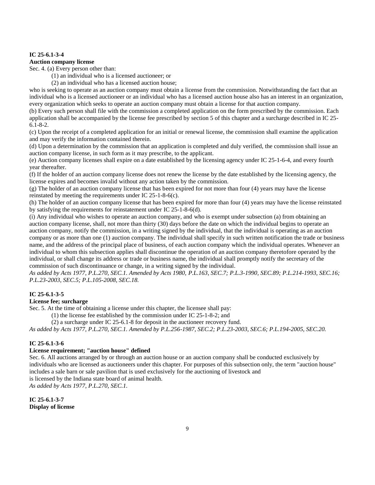### **IC 25-6.1-3-4**

#### **Auction company license**

Sec. 4. (a) Every person other than:

(1) an individual who is a licensed auctioneer; or

(2) an individual who has a licensed auction house;

who is seeking to operate as an auction company must obtain a license from the commission. Notwithstanding the fact that an individual who is a licensed auctioneer or an individual who has a licensed auction house also has an interest in an organization, every organization which seeks to operate an auction company must obtain a license for that auction company.

(b) Every such person shall file with the commission a completed application on the form prescribed by the commission. Each application shall be accompanied by the license fee prescribed by section 5 of this chapter and a surcharge described in IC 25- 6.1-8-2.

(c) Upon the receipt of a completed application for an initial or renewal license, the commission shall examine the application and may verify the information contained therein.

(d) Upon a determination by the commission that an application is completed and duly verified, the commission shall issue an auction company license, in such form as it may prescribe, to the applicant.

(e) Auction company licenses shall expire on a date established by the licensing agency under IC 25-1-6-4, and every fourth year thereafter.

(f) If the holder of an auction company license does not renew the license by the date established by the licensing agency, the license expires and becomes invalid without any action taken by the commission.

(g) The holder of an auction company license that has been expired for not more than four (4) years may have the license reinstated by meeting the requirements under IC 25-1-8-6(c).

(h) The holder of an auction company license that has been expired for more than four (4) years may have the license reinstated by satisfying the requirements for reinstatement under IC 25-1-8-6(d).

(i) Any individual who wishes to operate an auction company, and who is exempt under subsection (a) from obtaining an auction company license, shall, not more than thirty (30) days before the date on which the individual begins to operate an auction company, notify the commission, in a writing signed by the individual, that the individual is operating as an auction company or as more than one (1) auction company. The individual shall specify in such written notification the trade or business name, and the address of the principal place of business, of each auction company which the individual operates. Whenever an individual to whom this subsection applies shall discontinue the operation of an auction company theretofore operated by the individual, or shall change its address or trade or business name, the individual shall promptly notify the secretary of the commission of such discontinuance or change, in a writing signed by the individual.

*As added by Acts 1977, P.L.270, SEC.1. Amended by Acts 1980, P.L.163, SEC.7; P.L.3-1990, SEC.89; P.L.214-1993, SEC.16; P.L.23-2003, SEC.5; P.L.105-2008, SEC.18.*

#### **IC 25-6.1-3-5**

#### **License fee; surcharge**

Sec. 5. At the time of obtaining a license under this chapter, the licensee shall pay:

(1) the license fee established by the commission under IC 25-1-8-2; and

(2) a surcharge under IC 25-6.1-8 for deposit in the auctioneer recovery fund.

*As added by Acts 1977, P.L.270, SEC.1. Amended by P.L.256-1987, SEC.2; P.L.23-2003, SEC.6; P.L.194-2005, SEC.20.*

### **IC 25-6.1-3-6**

### **License requirement; "auction house" defined**

Sec. 6. All auctions arranged by or through an auction house or an auction company shall be conducted exclusively by individuals who are licensed as auctioneers under this chapter. For purposes of this subsection only, the term "auction house" includes a sale barn or sale pavilion that is used exclusively for the auctioning of livestock and is licensed by the Indiana state board of animal health.

*As added by Acts 1977, P.L.270, SEC.1.*

**IC 25-6.1-3-7 Display of license**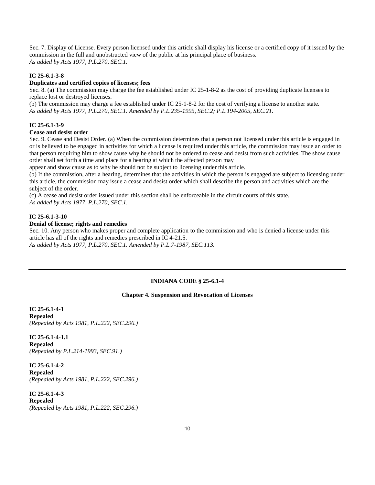Sec. 7. Display of License. Every person licensed under this article shall display his license or a certified copy of it issued by the commission in the full and unobstructed view of the public at his principal place of business. *As added by Acts 1977, P.L.270, SEC.1.*

### **IC 25-6.1-3-8**

### **Duplicates and certified copies of licenses; fees**

Sec. 8. (a) The commission may charge the fee established under IC 25-1-8-2 as the cost of providing duplicate licenses to replace lost or destroyed licenses.

(b) The commission may charge a fee established under IC 25-1-8-2 for the cost of verifying a license to another state. *As added by Acts 1977, P.L.270, SEC.1. Amended by P.L.235-1995, SEC.2; P.L.194-2005, SEC.21.*

### **IC 25-6.1-3-9**

### **Cease and desist order**

Sec. 9. Cease and Desist Order. (a) When the commission determines that a person not licensed under this article is engaged in or is believed to be engaged in activities for which a license is required under this article, the commission may issue an order to that person requiring him to show cause why he should not be ordered to cease and desist from such activities. The show cause order shall set forth a time and place for a hearing at which the affected person may

appear and show cause as to why he should not be subject to licensing under this article.

(b) If the commission, after a hearing, determines that the activities in which the person is engaged are subject to licensing under this article, the commission may issue a cease and desist order which shall describe the person and activities which are the subject of the order.

(c) A cease and desist order issued under this section shall be enforceable in the circuit courts of this state. *As added by Acts 1977, P.L.270, SEC.1.*

### **IC 25-6.1-3-10**

### **Denial of license; rights and remedies**

Sec. 10. Any person who makes proper and complete application to the commission and who is denied a license under this article has all of the rights and remedies prescribed in IC 4-21.5. *As added by Acts 1977, P.L.270, SEC.1. Amended by P.L.7-1987, SEC.113.*

#### **INDIANA CODE § 25-6.1-4**

#### **Chapter 4. Suspension and Revocation of Licenses**

**IC 25-6.1-4-1 Repealed** *(Repealed by Acts 1981, P.L.222, SEC.296.)*

**IC 25-6.1-4-1.1 Repealed** *(Repealed by P.L.214-1993, SEC.91.)*

**IC 25-6.1-4-2 Repealed** *(Repealed by Acts 1981, P.L.222, SEC.296.)*

**IC 25-6.1-4-3 Repealed** *(Repealed by Acts 1981, P.L.222, SEC.296.)*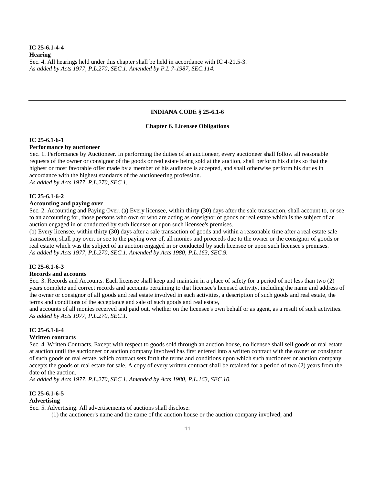### **IC 25-6.1-4-4 Hearing** Sec. 4. All hearings held under this chapter shall be held in accordance with IC 4-21.5-3. *As added by Acts 1977, P.L.270, SEC.1. Amended by P.L.7-1987, SEC.114.*

#### **INDIANA CODE § 25-6.1-6**

#### **Chapter 6. Licensee Obligations**

### **IC 25-6.1-6-1**

#### **Performance by auctioneer**

Sec. 1. Performance by Auctioneer. In performing the duties of an auctioneer, every auctioneer shall follow all reasonable requests of the owner or consignor of the goods or real estate being sold at the auction, shall perform his duties so that the highest or most favorable offer made by a member of his audience is accepted, and shall otherwise perform his duties in accordance with the highest standards of the auctioneering profession. *As added by Acts 1977, P.L.270, SEC.1.*

### **IC 25-6.1-6-2**

#### **Accounting and paying over**

Sec. 2. Accounting and Paying Over. (a) Every licensee, within thirty (30) days after the sale transaction, shall account to, or see to an accounting for, those persons who own or who are acting as consignor of goods or real estate which is the subject of an auction engaged in or conducted by such licensee or upon such licensee's premises.

(b) Every licensee, within thirty (30) days after a sale transaction of goods and within a reasonable time after a real estate sale transaction, shall pay over, or see to the paying over of, all monies and proceeds due to the owner or the consignor of goods or real estate which was the subject of an auction engaged in or conducted by such licensee or upon such licensee's premises. *As added by Acts 1977, P.L.270, SEC.1. Amended by Acts 1980, P.L.163, SEC.9.*

#### **IC 25-6.1-6-3**

### **Records and accounts**

Sec. 3. Records and Accounts. Each licensee shall keep and maintain in a place of safety for a period of not less than two (2) years complete and correct records and accounts pertaining to that licensee's licensed activity, including the name and address of the owner or consignor of all goods and real estate involved in such activities, a description of such goods and real estate, the terms and conditions of the acceptance and sale of such goods and real estate,

and accounts of all monies received and paid out, whether on the licensee's own behalf or as agent, as a result of such activities. *As added by Acts 1977, P.L.270, SEC.1.*

#### **IC 25-6.1-6-4**

#### **Written contracts**

Sec. 4. Written Contracts. Except with respect to goods sold through an auction house, no licensee shall sell goods or real estate at auction until the auctioneer or auction company involved has first entered into a written contract with the owner or consignor of such goods or real estate, which contract sets forth the terms and conditions upon which such auctioneer or auction company accepts the goods or real estate for sale. A copy of every written contract shall be retained for a period of two (2) years from the date of the auction.

*As added by Acts 1977, P.L.270, SEC.1. Amended by Acts 1980, P.L.163, SEC.10.*

#### **IC 25-6.1-6-5 Advertising**

Sec. 5. Advertising. All advertisements of auctions shall disclose:

(1) the auctioneer's name and the name of the auction house or the auction company involved; and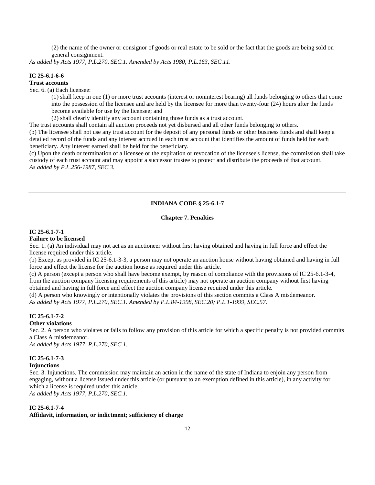(2) the name of the owner or consignor of goods or real estate to be sold or the fact that the goods are being sold on general consignment.

*As added by Acts 1977, P.L.270, SEC.1. Amended by Acts 1980, P.L.163, SEC.11.*

### **IC 25-6.1-6-6**

#### **Trust accounts**

Sec. 6. (a) Each licensee:

(1) shall keep in one (1) or more trust accounts (interest or noninterest bearing) all funds belonging to others that come into the possession of the licensee and are held by the licensee for more than twenty-four (24) hours after the funds become available for use by the licensee; and

(2) shall clearly identify any account containing those funds as a trust account.

The trust accounts shall contain all auction proceeds not yet disbursed and all other funds belonging to others. (b) The licensee shall not use any trust account for the deposit of any personal funds or other business funds and shall keep a detailed record of the funds and any interest accrued in each trust account that identifies the amount of funds held for each beneficiary. Any interest earned shall be held for the beneficiary.

(c) Upon the death or termination of a licensee or the expiration or revocation of the licensee's license, the commission shall take custody of each trust account and may appoint a successor trustee to protect and distribute the proceeds of that account. *As added by P.L.256-1987, SEC.3.*

### **INDIANA CODE § 25-6.1-7**

#### **Chapter 7. Penalties**

#### **IC 25-6.1-7-1**

#### **Failure to be licensed**

Sec. 1. (a) An individual may not act as an auctioneer without first having obtained and having in full force and effect the license required under this article.

(b) Except as provided in IC 25-6.1-3-3, a person may not operate an auction house without having obtained and having in full force and effect the license for the auction house as required under this article.

(c) A person (except a person who shall have become exempt, by reason of compliance with the provisions of IC 25-6.1-3-4, from the auction company licensing requirements of this article) may not operate an auction company without first having obtained and having in full force and effect the auction company license required under this article.

(d) A person who knowingly or intentionally violates the provisions of this section commits a Class A misdemeanor. *As added by Acts 1977, P.L.270, SEC.1. Amended by P.L.84-1998, SEC.20; P.L.1-1999, SEC.57.*

### **IC 25-6.1-7-2**

#### **Other violations**

Sec. 2. A person who violates or fails to follow any provision of this article for which a specific penalty is not provided commits a Class A misdemeanor.

*As added by Acts 1977, P.L.270, SEC.1.*

#### **IC 25-6.1-7-3**

#### **Injunctions**

Sec. 3. Injunctions. The commission may maintain an action in the name of the state of Indiana to enjoin any person from engaging, without a license issued under this article (or pursuant to an exemption defined in this article), in any activity for which a license is required under this article. *As added by Acts 1977, P.L.270, SEC.1.*

**IC 25-6.1-7-4**

#### **Affidavit, information, or indictment; sufficiency of charge**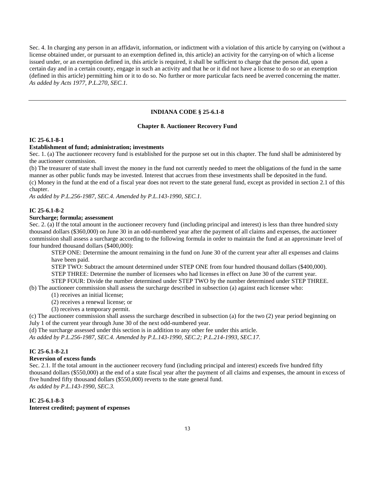Sec. 4. In charging any person in an affidavit, information, or indictment with a violation of this article by carrying on (without a license obtained under, or pursuant to an exemption defined in, this article) an activity for the carrying-on of which a license issued under, or an exemption defined in, this article is required, it shall be sufficient to charge that the person did, upon a certain day and in a certain county, engage in such an activity and that he or it did not have a license to do so or an exemption (defined in this article) permitting him or it to do so. No further or more particular facts need be averred concerning the matter. *As added by Acts 1977, P.L.270, SEC.1.*

### **INDIANA CODE § 25-6.1-8**

#### **Chapter 8. Auctioneer Recovery Fund**

#### **IC 25-6.1-8-1**

#### **Establishment of fund; administration; investments**

Sec. 1. (a) The auctioneer recovery fund is established for the purpose set out in this chapter. The fund shall be administered by the auctioneer commission.

(b) The treasurer of state shall invest the money in the fund not currently needed to meet the obligations of the fund in the same manner as other public funds may be invested. Interest that accrues from these investments shall be deposited in the fund. (c) Money in the fund at the end of a fiscal year does not revert to the state general fund, except as provided in section 2.1 of this chapter.

*As added by P.L.256-1987, SEC.4. Amended by P.L.143-1990, SEC.1.*

#### **IC 25-6.1-8-2**

#### **Surcharge; formula; assessment**

Sec. 2. (a) If the total amount in the auctioneer recovery fund (including principal and interest) is less than three hundred sixty thousand dollars (\$360,000) on June 30 in an odd-numbered year after the payment of all claims and expenses, the auctioneer commission shall assess a surcharge according to the following formula in order to maintain the fund at an approximate level of four hundred thousand dollars (\$400,000):

STEP ONE: Determine the amount remaining in the fund on June 30 of the current year after all expenses and claims have been paid.

STEP TWO: Subtract the amount determined under STEP ONE from four hundred thousand dollars (\$400,000).

STEP THREE: Determine the number of licensees who had licenses in effect on June 30 of the current year.

STEP FOUR: Divide the number determined under STEP TWO by the number determined under STEP THREE.

(b) The auctioneer commission shall assess the surcharge described in subsection (a) against each licensee who:

(1) receives an initial license;

(2) receives a renewal license; or

(3) receives a temporary permit.

(c) The auctioneer commission shall assess the surcharge described in subsection (a) for the two (2) year period beginning on July 1 of the current year through June 30 of the next odd-numbered year.

(d) The surcharge assessed under this section is in addition to any other fee under this article.

*As added by P.L.256-1987, SEC.4. Amended by P.L.143-1990, SEC.2; P.L.214-1993, SEC.17.*

### **IC 25-6.1-8-2.1**

### **Reversion of excess funds**

Sec. 2.1. If the total amount in the auctioneer recovery fund (including principal and interest) exceeds five hundred fifty thousand dollars (\$550,000) at the end of a state fiscal year after the payment of all claims and expenses, the amount in excess of five hundred fifty thousand dollars (\$550,000) reverts to the state general fund. *As added by P.L.143-1990, SEC.3.*

#### **IC 25-6.1-8-3 Interest credited; payment of expenses**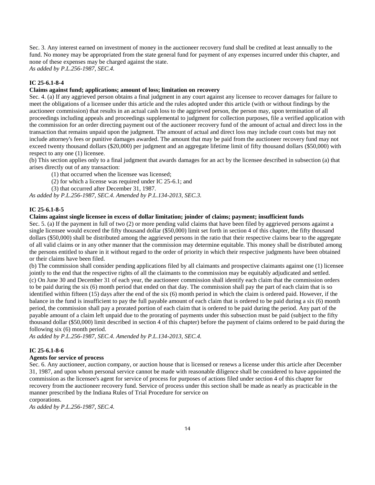Sec. 3. Any interest earned on investment of money in the auctioneer recovery fund shall be credited at least annually to the fund. No money may be appropriated from the state general fund for payment of any expenses incurred under this chapter, and none of these expenses may be charged against the state.

*As added by P.L.256-1987, SEC.4.*

### **IC 25-6.1-8-4**

#### **Claims against fund; applications; amount of loss; limitation on recovery**

Sec. 4. (a) If any aggrieved person obtains a final judgment in any court against any licensee to recover damages for failure to meet the obligations of a licensee under this article and the rules adopted under this article (with or without findings by the auctioneer commission) that results in an actual cash loss to the aggrieved person, the person may, upon termination of all proceedings including appeals and proceedings supplemental to judgment for collection purposes, file a verified application with the commission for an order directing payment out of the auctioneer recovery fund of the amount of actual and direct loss in the transaction that remains unpaid upon the judgment. The amount of actual and direct loss may include court costs but may not include attorney's fees or punitive damages awarded. The amount that may be paid from the auctioneer recovery fund may not exceed twenty thousand dollars (\$20,000) per judgment and an aggregate lifetime limit of fifty thousand dollars (\$50,000) with respect to any one (1) licensee.

(b) This section applies only to a final judgment that awards damages for an act by the licensee described in subsection (a) that arises directly out of any transaction:

- (1) that occurred when the licensee was licensed;
- (2) for which a license was required under IC 25-6.1; and
- (3) that occurred after December 31, 1987.

*As added by P.L.256-1987, SEC.4. Amended by P.L.134-2013, SEC.3.*

#### **IC 25-6.1-8-5**

### **Claims against single licensee in excess of dollar limitation; joinder of claims; payment; insufficient funds**

Sec. 5. (a) If the payment in full of two (2) or more pending valid claims that have been filed by aggrieved persons against a single licensee would exceed the fifty thousand dollar (\$50,000) limit set forth in section 4 of this chapter, the fifty thousand dollars (\$50,000) shall be distributed among the aggrieved persons in the ratio that their respective claims bear to the aggregate of all valid claims or in any other manner that the commission may determine equitable. This money shall be distributed among the persons entitled to share in it without regard to the order of priority in which their respective judgments have been obtained or their claims have been filed.

(b) The commission shall consider pending applications filed by all claimants and prospective claimants against one (1) licensee jointly to the end that the respective rights of all the claimants to the commission may be equitably adjudicated and settled. (c) On June 30 and December 31 of each year, the auctioneer commission shall identify each claim that the commission orders to be paid during the six (6) month period that ended on that day. The commission shall pay the part of each claim that is so identified within fifteen (15) days after the end of the six (6) month period in which the claim is ordered paid. However, if the balance in the fund is insufficient to pay the full payable amount of each claim that is ordered to be paid during a six (6) month period, the commission shall pay a prorated portion of each claim that is ordered to be paid during the period. Any part of the payable amount of a claim left unpaid due to the prorating of payments under this subsection must be paid (subject to the fifty thousand dollar (\$50,000) limit described in section 4 of this chapter) before the payment of claims ordered to be paid during the following six (6) month period.

*As added by P.L.256-1987, SEC.4. Amended by P.L.134-2013, SEC.4.*

### **IC 25-6.1-8-6**

#### **Agents for service of process**

Sec. 6. Any auctioneer, auction company, or auction house that is licensed or renews a license under this article after December 31, 1987, and upon whom personal service cannot be made with reasonable diligence shall be considered to have appointed the commission as the licensee's agent for service of process for purposes of actions filed under section 4 of this chapter for recovery from the auctioneer recovery fund. Service of process under this section shall be made as nearly as practicable in the manner prescribed by the Indiana Rules of Trial Procedure for service on corporations.

*As added by P.L.256-1987, SEC.4.*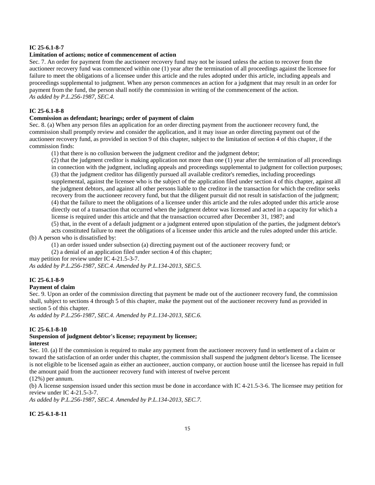#### **IC 25-6.1-8-7**

#### **Limitation of actions; notice of commencement of action**

Sec. 7. An order for payment from the auctioneer recovery fund may not be issued unless the action to recover from the auctioneer recovery fund was commenced within one (1) year after the termination of all proceedings against the licensee for failure to meet the obligations of a licensee under this article and the rules adopted under this article, including appeals and proceedings supplemental to judgment. When any person commences an action for a judgment that may result in an order for payment from the fund, the person shall notify the commission in writing of the commencement of the action. *As added by P.L.256-1987, SEC.4.*

### **IC 25-6.1-8-8**

### **Commission as defendant; hearings; order of payment of claim**

Sec. 8. (a) When any person files an application for an order directing payment from the auctioneer recovery fund, the commission shall promptly review and consider the application, and it may issue an order directing payment out of the auctioneer recovery fund, as provided in section 9 of this chapter, subject to the limitation of section 4 of this chapter, if the commission finds:

(1) that there is no collusion between the judgment creditor and the judgment debtor;

(2) that the judgment creditor is making application not more than one (1) year after the termination of all proceedings in connection with the judgment, including appeals and proceedings supplemental to judgment for collection purposes; (3) that the judgment creditor has diligently pursued all available creditor's remedies, including proceedings supplemental, against the licensee who is the subject of the application filed under section 4 of this chapter, against all the judgment debtors, and against all other persons liable to the creditor in the transaction for which the creditor seeks recovery from the auctioneer recovery fund, but that the diligent pursuit did not result in satisfaction of the judgment; (4) that the failure to meet the obligations of a licensee under this article and the rules adopted under this article arose directly out of a transaction that occurred when the judgment debtor was licensed and acted in a capacity for which a license is required under this article and that the transaction occurred after December 31, 1987; and

(5) that, in the event of a default judgment or a judgment entered upon stipulation of the parties, the judgment debtor's acts constituted failure to meet the obligations of a licensee under this article and the rules adopted under this article. (b) A person who is dissatisfied by:

(1) an order issued under subsection (a) directing payment out of the auctioneer recovery fund; or

(2) a denial of an application filed under section 4 of this chapter;

may petition for review under IC 4-21.5-3-7.

*As added by P.L.256-1987, SEC.4. Amended by P.L.134-2013, SEC.5.*

#### **IC 25-6.1-8-9**

#### **Payment of claim**

Sec. 9. Upon an order of the commission directing that payment be made out of the auctioneer recovery fund, the commission shall, subject to sections 4 through 5 of this chapter, make the payment out of the auctioneer recovery fund as provided in section 5 of this chapter.

*As added by P.L.256-1987, SEC.4. Amended by P.L.134-2013, SEC.6.*

#### **IC 25-6.1-8-10**

### **Suspension of judgment debtor's license; repayment by licensee; interest**

Sec. 10. (a) If the commission is required to make any payment from the auctioneer recovery fund in settlement of a claim or toward the satisfaction of an order under this chapter, the commission shall suspend the judgment debtor's license. The licensee is not eligible to be licensed again as either an auctioneer, auction company, or auction house until the licensee has repaid in full the amount paid from the auctioneer recovery fund with interest of twelve percent

(12%) per annum.

(b) A license suspension issued under this section must be done in accordance with IC 4-21.5-3-6. The licensee may petition for review under IC 4-21.5-3-7.

*As added by P.L.256-1987, SEC.4. Amended by P.L.134-2013, SEC.7.*

### **IC 25-6.1-8-11**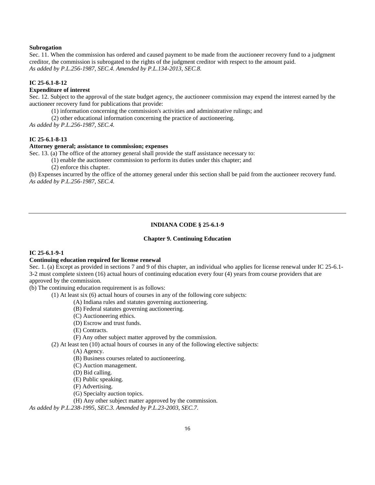#### **Subrogation**

Sec. 11. When the commission has ordered and caused payment to be made from the auctioneer recovery fund to a judgment creditor, the commission is subrogated to the rights of the judgment creditor with respect to the amount paid. *As added by P.L.256-1987, SEC.4. Amended by P.L.134-2013, SEC.8.*

#### **IC 25-6.1-8-12**

### **Expenditure of interest**

Sec. 12. Subject to the approval of the state budget agency, the auctioneer commission may expend the interest earned by the auctioneer recovery fund for publications that provide:

(1) information concerning the commission's activities and administrative rulings; and

(2) other educational information concerning the practice of auctioneering.

*As added by P.L.256-1987, SEC.4.*

### **IC 25-6.1-8-13**

#### **Attorney general; assistance to commission; expenses**

Sec. 13. (a) The office of the attorney general shall provide the staff assistance necessary to:

- (1) enable the auctioneer commission to perform its duties under this chapter; and
- (2) enforce this chapter.

(b) Expenses incurred by the office of the attorney general under this section shall be paid from the auctioneer recovery fund. *As added by P.L.256-1987, SEC.4.*

### **INDIANA CODE § 25-6.1-9**

#### **Chapter 9. Continuing Education**

### **IC 25-6.1-9-1**

#### **Continuing education required for license renewal**

Sec. 1. (a) Except as provided in sections 7 and 9 of this chapter, an individual who applies for license renewal under IC 25-6.1- 3-2 must complete sixteen (16) actual hours of continuing education every four (4) years from course providers that are approved by the commission.

(b) The continuing education requirement is as follows:

(1) At least six (6) actual hours of courses in any of the following core subjects:

- (A) Indiana rules and statutes governing auctioneering.
- (B) Federal statutes governing auctioneering.
- (C) Auctioneering ethics.
- (D) Escrow and trust funds.

(E) Contracts.

(F) Any other subject matter approved by the commission.

(2) At least ten (10) actual hours of courses in any of the following elective subjects:

(A) Agency.

(B) Business courses related to auctioneering.

(C) Auction management.

(D) Bid calling.

(E) Public speaking.

(F) Advertising.

(G) Specialty auction topics.

(H) Any other subject matter approved by the commission.

*As added by P.L.238-1995, SEC.3. Amended by P.L.23-2003, SEC.7.*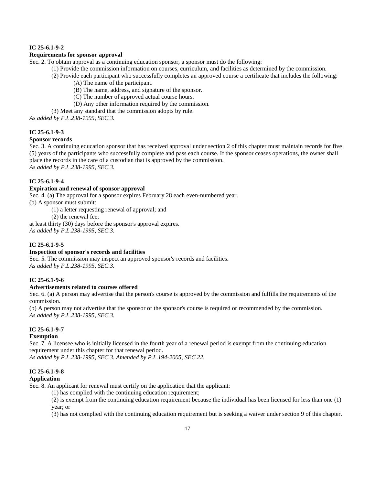### **IC 25-6.1-9-2**

#### **Requirements for sponsor approval**

Sec. 2. To obtain approval as a continuing education sponsor, a sponsor must do the following:

- (1) Provide the commission information on courses, curriculum, and facilities as determined by the commission.
- (2) Provide each participant who successfully completes an approved course a certificate that includes the following:
	- (A) The name of the participant.
	- (B) The name, address, and signature of the sponsor.
	- (C) The number of approved actual course hours.
	- (D) Any other information required by the commission.

(3) Meet any standard that the commission adopts by rule.

*As added by P.L.238-1995, SEC.3.*

#### **IC 25-6.1-9-3**

#### **Sponsor records**

Sec. 3. A continuing education sponsor that has received approval under section 2 of this chapter must maintain records for five (5) years of the participants who successfully complete and pass each course. If the sponsor ceases operations, the owner shall place the records in the care of a custodian that is approved by the commission. *As added by P.L.238-1995, SEC.3.*

### **IC 25-6.1-9-4**

### **Expiration and renewal of sponsor approval**

Sec. 4. (a) The approval for a sponsor expires February 28 each even-numbered year. (b) A sponsor must submit:

(1) a letter requesting renewal of approval; and

(2) the renewal fee;

at least thirty (30) days before the sponsor's approval expires. *As added by P.L.238-1995, SEC.3.*

#### **IC 25-6.1-9-5**

### **Inspection of sponsor's records and facilities**

Sec. 5. The commission may inspect an approved sponsor's records and facilities. *As added by P.L.238-1995, SEC.3.*

#### **IC 25-6.1-9-6**

#### **Advertisements related to courses offered**

Sec. 6. (a) A person may advertise that the person's course is approved by the commission and fulfills the requirements of the commission.

(b) A person may not advertise that the sponsor or the sponsor's course is required or recommended by the commission. *As added by P.L.238-1995, SEC.3.*

#### **IC 25-6.1-9-7**

### **Exemption**

Sec. 7. A licensee who is initially licensed in the fourth year of a renewal period is exempt from the continuing education requirement under this chapter for that renewal period.

*As added by P.L.238-1995, SEC.3. Amended by P.L.194-2005, SEC.22.*

#### **IC 25-6.1-9-8**

#### **Application**

Sec. 8. An applicant for renewal must certify on the application that the applicant:

(1) has complied with the continuing education requirement;

(2) is exempt from the continuing education requirement because the individual has been licensed for less than one (1) year; or

(3) has not complied with the continuing education requirement but is seeking a waiver under section 9 of this chapter.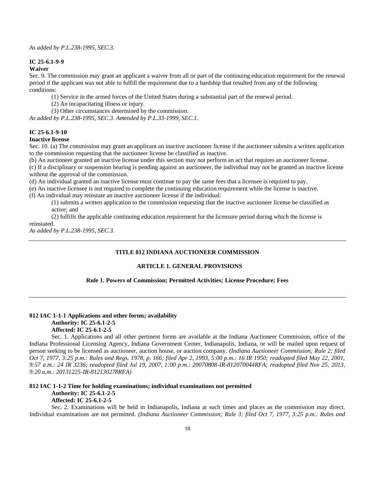#### **IC 25-6.1-9-9**

#### **Waiver**

Sec. 9. The commission may grant an applicant a waiver from all or part of the continuing education requirement for the renewal period if the applicant was not able to fulfill the requirement due to a hardship that resulted from any of the following conditions:

(1) Service in the armed forces of the United States during a substantial part of the renewal period.

(2) An incapacitating illness or injury.

(3) Other circumstances determined by the commission.

*As added by P.L.238-1995, SEC.3. Amended by P.L.33-1999, SEC.1.*

#### **IC 25-6.1-9-10**

#### **Inactive license**

Sec. 10. (a) The commission may grant an applicant an inactive auctioneer license if the auctioneer submits a written application to the commission requesting that the auctioneer license be classified as inactive.

(b) An auctioneer granted an inactive license under this section may not perform an act that requires an auctioneer license.

(c) If a disciplinary or suspension hearing is pending against an auctioneer, the individual may not be granted an inactive license without the approval of the commission.

(d) An individual granted an inactive license must continue to pay the same fees that a licensee is required to pay.

(e) An inactive licensee is not required to complete the continuing education requirement while the license is inactive. (f) An individual may reinstate an inactive auctioneer license if the individual:

(1) submits a written application to the commission requesting that the inactive auctioneer license be classified as

active; and

(2) fulfills the applicable continuing education requirement for the licensure period during which the license is reinstated.

*As added by P.L.238-1995, SEC.3.*

### **TITLE 812 INDIANA AUCTIONEER COMMISSION**

### **ARTICLE 1. GENERAL PROVISIONS**

#### **Rule 1. Powers of Commission; Permitted Activities; License Procedure; Fees**

### **812 IAC 1-1-1 Applications and other forms; availability Authority: IC 25-6.1-2-5 Affected: IC 25-6.1-2-5**

Sec. 1. Applications and all other pertinent forms are available at the Indiana Auctioneer Commission, office of the Indiana Professional Licensing Agency, Indiana Government Center, Indianapolis, Indiana, or will be mailed upon request of person seeking to be licensed as auctioneer, auction house, or auction company. *(Indiana Auctioneer Commission; Rule 2; filed Oct 7, 1977, 3:25 p.m.: Rules and Regs. 1978, p. 166; filed Apr 2, 1993, 5:00 p.m.: 16 IR 1950; readopted filed May 22, 2001, 9:57 a.m.: 24 IR 3236; readopted filed Jul 19, 2007, 1:00 p.m.: 20070808-IR-812070044RFA; readopted filed Nov 25, 2013, 9:20 a.m.: 20131225-IR-812130278RFA)*

#### **812 IAC 1-1-2 Time for holding examinations; individual examinations not permitted Authority: IC 25-6.1-2-5 Affected: IC 25-6.1-2-5**

Sec. 2. Examinations will be held in Indianapolis, Indiana at such times and places as the commission may direct. Individual examinations are not permitted. *(Indiana Auctioneer Commission; Rule 3; filed Oct 7, 1977, 3:25 p.m.: Rules and*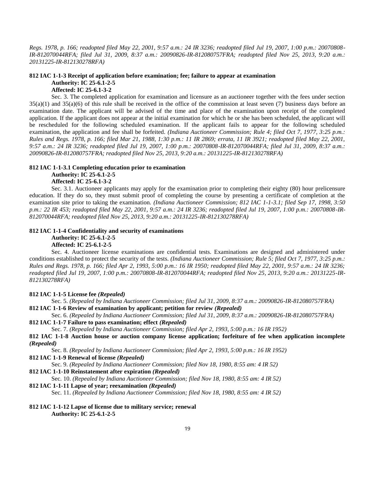*Regs. 1978, p. 166; readopted filed May 22, 2001, 9:57 a.m.: 24 IR 3236; readopted filed Jul 19, 2007, 1:00 p.m.: 20070808- IR-812070044RFA; filed Jul 31, 2009, 8:37 a.m.: 20090826-IR-812080757FRA; readopted filed Nov 25, 2013, 9:20 a.m.: 20131225-IR-812130278RFA)*

### **812 IAC 1-1-3 Receipt of application before examination; fee; failure to appear at examination Authority: IC 25-6.1-2-5**

**Affected: IC 25-6.1-3-2**

Sec. 3. The completed application for examination and licensure as an auctioneer together with the fees under section  $35(a)(1)$  and  $35(a)(6)$  of this rule shall be received in the office of the commission at least seven (7) business days before an examination date. The applicant will be advised of the time and place of the examination upon receipt of the completed application. If the applicant does not appear at the initial examination for which he or she has been scheduled, the applicant will be rescheduled for the following scheduled examination. If the applicant fails to appear for the following scheduled examination, the application and fee shall be forfeited. *(Indiana Auctioneer Commission; Rule 4; filed Oct 7, 1977, 3:25 p.m.: Rules and Regs. 1978, p. 166; filed Mar 21, 1988, 1:30 p.m.: 11 IR 2869; errata, 11 IR 3921; readopted filed May 22, 2001, 9:57 a.m.: 24 IR 3236; readopted filed Jul 19, 2007, 1:00 p.m.: 20070808-IR-812070044RFA; filed Jul 31, 2009, 8:37 a.m.: 20090826-IR-812080757FRA; readopted filed Nov 25, 2013, 9:20 a.m.: 20131225-IR-812130278RFA)*

#### **812 IAC 1-1-3.1 Completing education prior to examination**

**Authority: IC 25-6.1-2-5**

#### **Affected: IC 25-6.1-3-2**

Sec. 3.1. Auctioneer applicants may apply for the examination prior to completing their eighty (80) hour prelicensure education. If they do so, they must submit proof of completing the course by presenting a certificate of completion at the examination site prior to taking the examination. *(Indiana Auctioneer Commission; 812 IAC 1-1-3.1; filed Sep 17, 1998, 3:50 p.m.: 22 IR 453; readopted filed May 22, 2001, 9:57 a.m.: 24 IR 3236; readopted filed Jul 19, 2007, 1:00 p.m.: 20070808-IR-812070044RFA; readopted filed Nov 25, 2013, 9:20 a.m.: 20131225-IR-812130278RFA)*

#### **812 IAC 1-1-4 Confidentiality and security of examinations**

**Authority: IC 25-6.1-2-5**

#### **Affected: IC 25-6.1-2-5**

Sec. 4. Auctioneer license examinations are confidential tests. Examinations are designed and administered under conditions established to protect the security of the tests. *(Indiana Auctioneer Commission; Rule 5; filed Oct 7, 1977, 3:25 p.m.: Rules and Regs. 1978, p. 166; filed Apr 2, 1993, 5:00 p.m.: 16 IR 1950; readopted filed May 22, 2001, 9:57 a.m.: 24 IR 3236; readopted filed Jul 19, 2007, 1:00 p.m.: 20070808-IR-812070044RFA; readopted filed Nov 25, 2013, 9:20 a.m.: 20131225-IR-812130278RFA)*

#### **812 IAC 1-1-5 License fee** *(Repealed)*

Sec. 5. *(Repealed by Indiana Auctioneer Commission; filed Jul 31, 2009, 8:37 a.m.: 20090826-IR-812080757FRA)* **812 IAC 1-1-6 Review of examination by applicant; petition for review** *(Repealed)*

Sec. 6. *(Repealed by Indiana Auctioneer Commission; filed Jul 31, 2009, 8:37 a.m.: 20090826-IR-812080757FRA)* **812 IAC 1-1-7 Failure to pass examination; effect** *(Repealed)*

Sec. 7. *(Repealed by Indiana Auctioneer Commission; filed Apr 2, 1993, 5:00 p.m.: 16 IR 1952)*

**812 IAC 1-1-8 Auction house or auction company license application; forfeiture of fee when application incomplete**  *(Repealed)*

Sec. 8. *(Repealed by Indiana Auctioneer Commission; filed Apr 2, 1993, 5:00 p.m.: 16 IR 1952)*

### **812 IAC 1-1-9 Renewal of license** *(Repealed)*

Sec. 9. *(Repealed by Indiana Auctioneer Commission; filed Nov 18, 1980, 8:55 am: 4 IR 52)*

#### **812 IAC 1-1-10 Reinstatement after expiration** *(Repealed)*

Sec. 10. *(Repealed by Indiana Auctioneer Commission; filed Nov 18, 1980, 8:55 am: 4 IR 52)*

#### **812 IAC 1-1-11 Lapse of year; reexamination** *(Repealed)*

Sec. 11. *(Repealed by Indiana Auctioneer Commission; filed Nov 18, 1980, 8:55 am: 4 IR 52)*

#### **812 IAC 1-1-12 Lapse of license due to military service; renewal Authority: IC 25-6.1-2-5**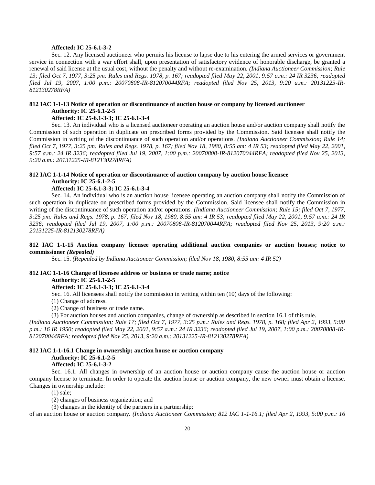#### **Affected: IC 25-6.1-3-2**

Sec. 12. Any licensed auctioneer who permits his license to lapse due to his entering the armed services or government service in connection with a war effort shall, upon presentation of satisfactory evidence of honorable discharge, be granted a renewal of said license at the usual cost, without the penalty and without re-examination. *(Indiana Auctioneer Commission; Rule 13; filed Oct 7, 1977, 3:25 pm: Rules and Regs. 1978, p. 167; readopted filed May 22, 2001, 9:57 a.m.: 24 IR 3236; readopted filed Jul 19, 2007, 1:00 p.m.: 20070808-IR-812070044RFA; readopted filed Nov 25, 2013, 9:20 a.m.: 20131225-IR-812130278RFA)*

#### **812 IAC 1-1-13 Notice of operation or discontinuance of auction house or company by licensed auctioneer Authority: IC 25-6.1-2-5**

#### **Affected: IC 25-6.1-3-3; IC 25-6.1-3-4**

Sec. 13. An individual who is a licensed auctioneer operating an auction house and/or auction company shall notify the Commission of such operation in duplicate on prescribed forms provided by the Commission. Said licensee shall notify the Commission in writing of the discontinuance of such operation and/or operations. *(Indiana Auctioneer Commission; Rule 14; filed Oct 7, 1977, 3:25 pm: Rules and Regs. 1978, p. 167; filed Nov 18, 1980, 8:55 am: 4 IR 53; readopted filed May 22, 2001, 9:57 a.m.: 24 IR 3236; readopted filed Jul 19, 2007, 1:00 p.m.: 20070808-IR-812070044RFA; readopted filed Nov 25, 2013, 9:20 a.m.: 20131225-IR-812130278RFA)*

### **812 IAC 1-1-14 Notice of operation or discontinuance of auction company by auction house licensee**

### **Authority: IC 25-6.1-2-5**

#### **Affected: IC 25-6.1-3-3; IC 25-6.1-3-4**

Sec. 14. An individual who is an auction house licensee operating an auction company shall notify the Commission of such operation in duplicate on prescribed forms provided by the Commission. Said licensee shall notify the Commission in writing of the discontinuance of such operation and/or operations. *(Indiana Auctioneer Commission; Rule 15; filed Oct 7, 1977, 3:25 pm: Rules and Regs. 1978, p. 167; filed Nov 18, 1980, 8:55 am: 4 IR 53; readopted filed May 22, 2001, 9:57 a.m.: 24 IR 3236; readopted filed Jul 19, 2007, 1:00 p.m.: 20070808-IR-812070044RFA; readopted filed Nov 25, 2013, 9:20 a.m.: 20131225-IR-812130278RFA)*

#### **812 IAC 1-1-15 Auction company licensee operating additional auction companies or auction houses; notice to commissioner** *(Repealed)*

Sec. 15. *(Repealed by Indiana Auctioneer Commission; filed Nov 18, 1980, 8:55 am: 4 IR 52)*

#### **812 IAC 1-1-16 Change of licensee address or business or trade name; notice**

#### **Authority: IC 25-6.1-2-5**

#### **Affected: IC 25-6.1-3-3; IC 25-6.1-3-4**

Sec. 16. All licensees shall notify the commission in writing within ten (10) days of the following:

(1) Change of address.

(2) Change of business or trade name.

(3) For auction houses and auction companies, change of ownership as described in section 16.1 of this rule.

*(Indiana Auctioneer Commission; Rule 17; filed Oct 7, 1977, 3:25 p.m.: Rules and Regs. 1978, p. 168; filed Apr 2, 1993, 5:00 p.m.: 16 IR 1950; readopted filed May 22, 2001, 9:57 a.m.: 24 IR 3236; readopted filed Jul 19, 2007, 1:00 p.m.: 20070808-IR-812070044RFA; readopted filed Nov 25, 2013, 9:20 a.m.: 20131225-IR-812130278RFA)*

#### **812 IAC 1-1-16.1 Change in ownership; auction house or auction company Authority: IC 25-6.1-2-5**

### **Affected: IC 25-6.1-3-2**

Sec. 16.1. All changes in ownership of an auction house or auction company cause the auction house or auction company license to terminate. In order to operate the auction house or auction company, the new owner must obtain a license. Changes in ownership include:

(1) sale;

(2) changes of business organization; and

(3) changes in the identity of the partners in a partnership;

of an auction house or auction company. *(Indiana Auctioneer Commission; 812 IAC 1-1-16.1; filed Apr 2, 1993, 5:00 p.m.: 16*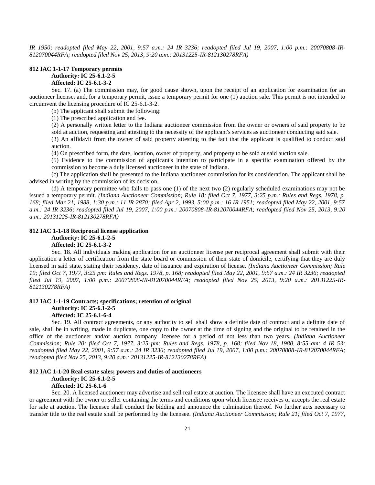*IR 1950; readopted filed May 22, 2001, 9:57 a.m.: 24 IR 3236; readopted filed Jul 19, 2007, 1:00 p.m.: 20070808-IR-812070044RFA; readopted filed Nov 25, 2013, 9:20 a.m.: 20131225-IR-812130278RFA)*

#### **812 IAC 1-1-17 Temporary permits Authority: IC 25-6.1-2-5 Affected: IC 25-6.1-3-2**

Sec. 17. (a) The commission may, for good cause shown, upon the receipt of an application for examination for an auctioneer license, and, for a temporary permit, issue a temporary permit for one (1) auction sale. This permit is not intended to circumvent the licensing procedure of IC 25-6.1-3-2.

(b) The applicant shall submit the following:

(1) The prescribed application and fee.

(2) A personally written letter to the Indiana auctioneer commission from the owner or owners of said property to be sold at auction, requesting and attesting to the necessity of the applicant's services as auctioneer conducting said sale.

(3) An affidavit from the owner of said property attesting to the fact that the applicant is qualified to conduct said auction.

(4) On prescribed form, the date, location, owner of property, and property to be sold at said auction sale.

(5) Evidence to the commission of applicant's intention to participate in a specific examination offered by the commission to become a duly licensed auctioneer in the state of Indiana.

(c) The application shall be presented to the Indiana auctioneer commission for its consideration. The applicant shall be advised in writing by the commission of its decision.

(d) A temporary permittee who fails to pass one (1) of the next two (2) regularly scheduled examinations may not be issued a temporary permit. *(Indiana Auctioneer Commission; Rule 18; filed Oct 7, 1977, 3:25 p.m.: Rules and Regs. 1978, p. 168; filed Mar 21, 1988, 1:30 p.m.: 11 IR 2870; filed Apr 2, 1993, 5:00 p.m.: 16 IR 1951; readopted filed May 22, 2001, 9:57 a.m.: 24 IR 3236; readopted filed Jul 19, 2007, 1:00 p.m.: 20070808-IR-812070044RFA; readopted filed Nov 25, 2013, 9:20 a.m.: 20131225-IR-812130278RFA)*

#### **812 IAC 1-1-18 Reciprocal license application**

**Authority: IC 25-6.1-2-5**

#### **Affected: IC 25-6.1-3-2**

Sec. 18. All individuals making application for an auctioneer license per reciprocal agreement shall submit with their application a letter of certification from the state board or commission of their state of domicile, certifying that they are duly licensed in said state, stating their residency, date of issuance and expiration of license. *(Indiana Auctioneer Commission; Rule 19; filed Oct 7, 1977, 3:25 pm: Rules and Regs. 1978, p. 168; readopted filed May 22, 2001, 9:57 a.m.: 24 IR 3236; readopted filed Jul 19, 2007, 1:00 p.m.: 20070808-IR-812070044RFA; readopted filed Nov 25, 2013, 9:20 a.m.: 20131225-IR-812130278RFA)*

#### **812 IAC 1-1-19 Contracts; specifications; retention of original**

### **Authority: IC 25-6.1-2-5**

### **Affected: IC 25-6.1-6-4**

Sec. 19. All contract agreements, or any authority to sell shall show a definite date of contract and a definite date of sale, shall be in writing, made in duplicate, one copy to the owner at the time of signing and the original to be retained in the office of the auctioneer and/or auction company licensee for a period of not less than two years. *(Indiana Auctioneer Commission; Rule 20; filed Oct 7, 1977, 3:25 pm: Rules and Regs. 1978, p. 168; filed Nov 18, 1980, 8:55 am: 4 IR 53; readopted filed May 22, 2001, 9:57 a.m.: 24 IR 3236; readopted filed Jul 19, 2007, 1:00 p.m.: 20070808-IR-812070044RFA; readopted filed Nov 25, 2013, 9:20 a.m.: 20131225-IR-812130278RFA)*

#### **812 IAC 1-1-20 Real estate sales; powers and duties of auctioneers**

#### **Authority: IC 25-6.1-2-5**

#### **Affected: IC 25-6.1-6**

Sec. 20. A licensed auctioneer may advertise and sell real estate at auction. The licensee shall have an executed contract or agreement with the owner or seller containing the terms and conditions upon which licensee receives or accepts the real estate for sale at auction. The licensee shall conduct the bidding and announce the culmination thereof. No further acts necessary to transfer title to the real estate shall be performed by the licensee. *(Indiana Auctioneer Commission; Rule 21; filed Oct 7, 1977,*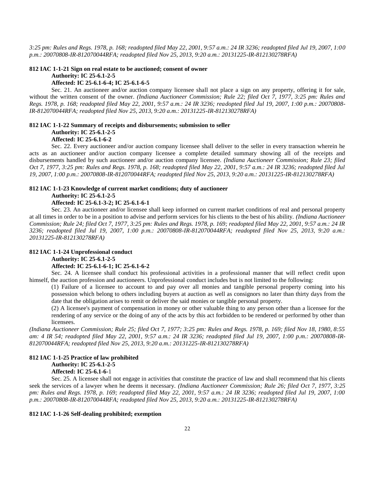*3:25 pm: Rules and Regs. 1978, p. 168; readopted filed May 22, 2001, 9:57 a.m.: 24 IR 3236; readopted filed Jul 19, 2007, 1:00 p.m.: 20070808-IR-812070044RFA; readopted filed Nov 25, 2013, 9:20 a.m.: 20131225-IR-812130278RFA)*

#### **812 IAC 1-1-21 Sign on real estate to be auctioned; consent of owner Authority: IC 25-6.1-2-5**

#### **Affected: IC 25-6.1-6-4; IC 25-6.1-6-5**

Sec. 21. An auctioneer and/or auction company licensee shall not place a sign on any property, offering it for sale, without the written consent of the owner. *(Indiana Auctioneer Commission; Rule 22; filed Oct 7, 1977, 3:25 pm: Rules and Regs. 1978, p. 168; readopted filed May 22, 2001, 9:57 a.m.: 24 IR 3236; readopted filed Jul 19, 2007, 1:00 p.m.: 20070808- IR-812070044RFA; readopted filed Nov 25, 2013, 9:20 a.m.: 20131225-IR-812130278RFA)*

### **812 IAC 1-1-22 Summary of receipts and disbursements; submission to seller Authority: IC 25-6.1-2-5 Affected: IC 25-6.1-6-2**

Sec. 22. Every auctioneer and/or auction company licensee shall deliver to the seller in every transaction wherein he acts as an auctioneer and/or auction company licensee a complete detailed summary showing all of the receipts and disbursements handled by such auctioneer and/or auction company licensee. *(Indiana Auctioneer Commission; Rule 23; filed Oct 7, 1977, 3:25 pm: Rules and Regs. 1978, p. 168; readopted filed May 22, 2001, 9:57 a.m.: 24 IR 3236; readopted filed Jul 19, 2007, 1:00 p.m.: 20070808-IR-812070044RFA; readopted filed Nov 25, 2013, 9:20 a.m.: 20131225-IR-812130278RFA)*

### **812 IAC 1-1-23 Knowledge of current market conditions; duty of auctioneer Authority: IC 25-6.1-2-5**

#### **Affected: IC 25-6.1-3-2; IC 25-6.1-6-1**

Sec. 23. An auctioneer and/or licensee shall keep informed on current market conditions of real and personal property at all times in order to be in a position to advise and perform services for his clients to the best of his ability. *(Indiana Auctioneer Commission; Rule 24; filed Oct 7, 1977, 3:25 pm: Rules and Regs. 1978, p. 169; readopted filed May 22, 2001, 9:57 a.m.: 24 IR 3236; readopted filed Jul 19, 2007, 1:00 p.m.: 20070808-IR-812070044RFA; readopted filed Nov 25, 2013, 9:20 a.m.: 20131225-IR-812130278RFA)*

#### **812 IAC 1-1-24 Unprofessional conduct**

**Authority: IC 25-6.1-2-5**

#### **Affected: IC 25-6.1-6-1; IC 25-6.1-6-2**

Sec. 24. A licensee shall conduct his professional activities in a professional manner that will reflect credit upon himself, the auction profession and auctioneers. Unprofessional conduct includes but is not limited to the following:

(1) Failure of a licensee to account to and pay over all monies and tangible personal property coming into his possession which belong to others including buyers at auction as well as consignors no later than thirty days from the date that the obligation arises to remit or deliver the said monies or tangible personal property.

(2) A licensee's payment of compensation in money or other valuable thing to any person other than a licensee for the rendering of any service or the doing of any of the acts by this act forbidden to be rendered or performed by other than licensees.

*(Indiana Auctioneer Commission; Rule 25; filed Oct 7, 1977; 3:25 pm: Rules and Regs. 1978, p. 169; filed Nov 18, 1980, 8:55 am: 4 IR 54; readopted filed May 22, 2001, 9:57 a.m.: 24 IR 3236; readopted filed Jul 19, 2007, 1:00 p.m.: 20070808-IR-812070044RFA; readopted filed Nov 25, 2013, 9:20 a.m.: 20131225-IR-812130278RFA)*

### **812 IAC 1-1-25 Practice of law prohibited Authority: IC 25-6.1-2-5 Affected: IC 25-6.1-6-**1

Sec. 25. A licensee shall not engage in activities that constitute the practice of law and shall recommend that his clients seek the services of a lawyer when he deems it necessary. *(Indiana Auctioneer Commission; Rule 26; filed Oct 7, 1977, 3:25 pm: Rules and Regs. 1978, p. 169; readopted filed May 22, 2001, 9:57 a.m.: 24 IR 3236; readopted filed Jul 19, 2007, 1:00 p.m.: 20070808-IR-812070044RFA; readopted filed Nov 25, 2013, 9:20 a.m.: 20131225-IR-812130278RFA)*

#### **812 IAC 1-1-26 Self-dealing prohibited; exemption**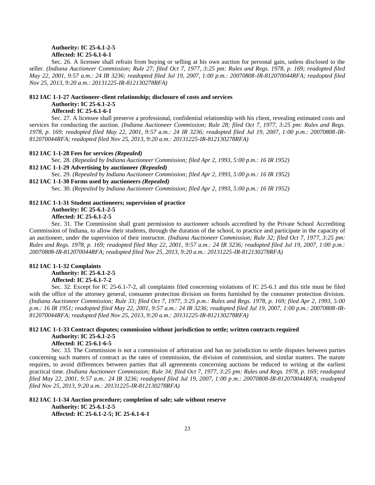### **Authority: IC 25-6.1-2-5 Affected: IC 25-6.1-6-1**

Sec. 26. A licensee shall refrain from buying or selling at his own auction for personal gain, unless disclosed to the seller. *(Indiana Auctioneer Commission; Rule 27; filed Oct 7, 1977, 3:25 pm: Rules and Regs. 1978, p. 169; readopted filed May 22, 2001, 9:57 a.m.: 24 IR 3236; readopted filed Jul 19, 2007, 1:00 p.m.: 20070808-IR-812070044RFA; readopted filed Nov 25, 2013, 9:20 a.m.: 20131225-IR-812130278RFA)*

#### **812 IAC 1-1-27 Auctioneer-client relationship; disclosure of costs and services Authority: IC 25-6.1-2-5 Affected: IC 25-6.1-6-1**

Sec. 27. A licensee shall preserve a professional, confidential relationship with his client, revealing estimated costs and services for conducting the auction. *(Indiana Auctioneer Commission; Rule 28; filed Oct 7, 1977, 3:25 pm: Rules and Regs. 1978, p. 169; readopted filed May 22, 2001, 9:57 a.m.: 24 IR 3236; readopted filed Jul 19, 2007, 1:00 p.m.: 20070808-IR-812070044RFA; readopted filed Nov 25, 2013, 9:20 a.m.: 20131225-IR-812130278RFA)*

#### **812 IAC 1-1-28 Fees for services** *(Repealed)*

Sec. 28. *(Repealed by Indiana Auctioneer Commission; filed Apr 2, 1993, 5:00 p.m.: 16 IR 1952)*

#### **812 IAC 1-1-29 Advertising by auctioneer** *(Repealed)*

Sec. 29. *(Repealed by Indiana Auctioneer Commission; filed Apr 2, 1993, 5:00 p.m.: 16 IR 1952)*

### **812 IAC 1-1-30 Forms used by auctioneers** *(Repealed)*

Sec. 30. *(Repealed by Indiana Auctioneer Commission; filed Apr 2, 1993, 5:00 p.m.: 16 IR 1952)*

### **812 IAC 1-1-31 Student auctioneers; supervision of practice Authority: IC 25-6.1-2-5 Affected: IC 25-6.1-2-5**

Sec. 31. The Commission shall grant permission to auctioneer schools accredited by the Private School Accrediting Commission of Indiana, to allow their students, through the duration of the school, to practice and participate in the capacity of an auctioneer, under the supervision of their instructor. *(Indiana Auctioneer Commission; Rule 32; filed Oct 7, 1977, 3:25 pm: Rules and Regs. 1978, p. 169; readopted filed May 22, 2001, 9:57 a.m.: 24 IR 3236; readopted filed Jul 19, 2007, 1:00 p.m.: 20070808-IR-812070044RFA; readopted filed Nov 25, 2013, 9:20 a.m.: 20131225-IR-812130278RFA)*

### **812 IAC 1-1-32 Complaints Authority: IC 25-6.1-2-5 Affected: IC 25-6.1-7-2**

Sec. 32. Except for IC 25-6.1-7-2, all complaints filed concerning violations of IC 25-6.1 and this title must be filed with the office of the attorney general, consumer protection division on forms furnished by the consumer protection division. *(Indiana Auctioneer Commission; Rule 33; filed Oct 7, 1977, 3:25 p.m.: Rules and Regs. 1978, p. 169; filed Apr 2, 1993, 5:00 p.m.: 16 IR 1951; readopted filed May 22, 2001, 9:57 a.m.: 24 IR 3236; readopted filed Jul 19, 2007, 1:00 p.m.: 20070808-IR-812070044RFA; readopted filed Nov 25, 2013, 9:20 a.m.: 20131225-IR-812130278RFA)*

### **812 IAC 1-1-33 Contract disputes; commission without jurisdiction to settle; written contracts required Authority: IC 25-6.1-2-5**

### **Affected: IC 25-6.1-6-5**

Sec. 33. The Commission is not a commission of arbitration and has no jurisdiction to settle disputes between parties concerning such matters of contract as the rates of commission, the division of commission, and similar matters. The statute requires, to avoid differences between parties that all agreements concerning auctions be reduced to writing at the earliest practical time. *(Indiana Auctioneer Commission; Rule 34; filed Oct 7, 1977, 3:25 pm: Rules and Regs. 1978, p. 169; readopted filed May 22, 2001, 9:57 a.m.: 24 IR 3236; readopted filed Jul 19, 2007, 1:00 p.m.: 20070808-IR-812070044RFA; readopted filed Nov 25, 2013, 9:20 a.m.: 20131225-IR-812130278RFA)*

### **812 IAC 1-1-34 Auction procedure; completion of sale; sale without reserve Authority: IC 25-6.1-2-5 Affected: IC 25-6.1-2-5; IC 25-6.1-6-1**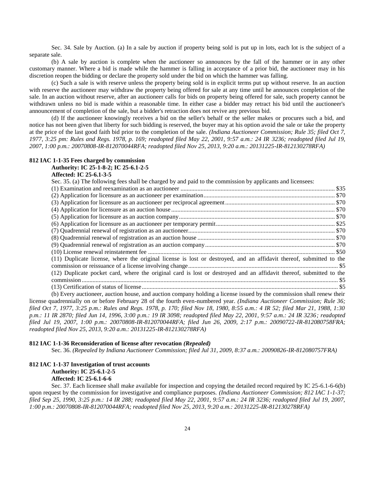Sec. 34. Sale by Auction. (a) In a sale by auction if property being sold is put up in lots, each lot is the subject of a separate sale.

(b) A sale by auction is complete when the auctioneer so announces by the fall of the hammer or in any other customary manner. Where a bid is made while the hammer is falling in acceptance of a prior bid, the auctioneer may in his discretion reopen the bidding or declare the property sold under the bid on which the hammer was falling.

(c) Such a sale is with reserve unless the property being sold is in explicit terms put up without reserve. In an auction with reserve the auctioneer may withdraw the property being offered for sale at any time until he announces completion of the sale. In an auction without reserve, after an auctioneer calls for bids on property being offered for sale, such property cannot be withdrawn unless no bid is made within a reasonable time. In either case a bidder may retract his bid until the auctioneer's announcement of completion of the sale, but a bidder's retraction does not revive any previous bid.

(d) If the auctioneer knowingly receives a bid on the seller's behalf or the seller makes or procures such a bid, and notice has not been given that liberty for such bidding is reserved, the buyer may at his option avoid the sale or take the property at the price of the last good faith bid prior to the completion of the sale. *(Indiana Auctioneer Commission; Rule 35; filed Oct 7, 1977, 3:25 pm: Rules and Regs. 1978, p. 169; readopted filed May 22, 2001, 9:57 a.m.: 24 IR 3236; readopted filed Jul 19, 2007, 1:00 p.m.: 20070808-IR-812070044RFA; readopted filed Nov 25, 2013, 9:20 a.m.: 20131225-IR-812130278RFA)*

#### **812 IAC 1-1-35 Fees charged by commission**

#### **Authority: IC 25-1-8-2; IC 25-6.1-2-5**

#### **Affected: IC 25-6.1-3-5**

Sec. 35. (a) The following fees shall be charged by and paid to the commission by applicants and licensees:

| (11) Duplicate license, where the original license is lost or destroyed, and an affidavit thereof, submitted to the   |  |  |  |
|-----------------------------------------------------------------------------------------------------------------------|--|--|--|
|                                                                                                                       |  |  |  |
| (12) Duplicate pocket card, where the original card is lost or destroyed and an affidavit thereof, submitted to the   |  |  |  |
|                                                                                                                       |  |  |  |
|                                                                                                                       |  |  |  |
| (b) Every auctioneer, auction house, and auction company holding a license issued by the commission shall renew their |  |  |  |
|                                                                                                                       |  |  |  |

license quadrennially on or before February 28 of the fourth even-numbered year. *(Indiana Auctioneer Commission; Rule 36; filed Oct 7, 1977, 3:25 p.m.: Rules and Regs. 1978, p. 170; filed Nov 18, 1980, 8:55 a.m.: 4 IR 52; filed Mar 21, 1988, 1:30 p.m.: 11 IR 2870; filed Jun 14, 1996, 3:00 p.m.: 19 IR 3098; readopted filed May 22, 2001, 9:57 a.m.: 24 IR 3236; readopted filed Jul 19, 2007, 1:00 p.m.: 20070808-IR-812070044RFA; filed Jun 26, 2009, 2:17 p.m.: 20090722-IR-812080758FRA; readopted filed Nov 25, 2013, 9:20 a.m.: 20131225-IR-812130278RFA)*

#### **812 IAC 1-1-36 Reconsideration of license after revocation** *(Repealed)*

Sec. 36. *(Repealed by Indiana Auctioneer Commission; filed Jul 31, 2009, 8:37 a.m.: 20090826-IR-812080757FRA)*

### **812 IAC 1-1-37 Investigation of trust accounts Authority: IC 25-6.1-2-5 Affected: IC 25-6.1-6-6**

Sec. 37. Each licensee shall make available for inspection and copying the detailed record required by IC 25-6.1-6-6(b) upon request by the commission for investigative and compliance purposes. *(Indiana Auctioneer Commission; 812 IAC 1-1-37; filed Sep 25, 1990, 3:25 p.m.: 14 IR 288; readopted filed May 22, 2001, 9:57 a.m.: 24 IR 3236; readopted filed Jul 19, 2007, 1:00 p.m.: 20070808-IR-812070044RFA; readopted filed Nov 25, 2013, 9:20 a.m.: 20131225-IR-812130278RFA)*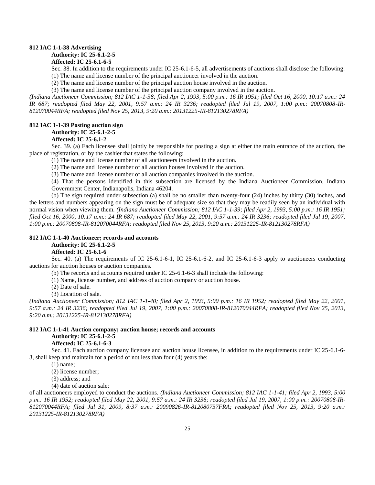#### **812 IAC 1-1-38 Advertising**

### **Authority: IC 25-6.1-2-5**

#### **Affected: IC 25-6.1-6-5**

Sec. 38. In addition to the requirements under IC 25-6.1-6-5, all advertisements of auctions shall disclose the following:

(1) The name and license number of the principal auctioneer involved in the auction.

(2) The name and license number of the principal auction house involved in the auction.

(3) The name and license number of the principal auction company involved in the auction.

*(Indiana Auctioneer Commission; 812 IAC 1-1-38; filed Apr 2, 1993, 5:00 p.m.: 16 IR 1951; filed Oct 16, 2000, 10:17 a.m.: 24 IR 687; readopted filed May 22, 2001, 9:57 a.m.: 24 IR 3236; readopted filed Jul 19, 2007, 1:00 p.m.: 20070808-IR-812070044RFA; readopted filed Nov 25, 2013, 9:20 a.m.: 20131225-IR-812130278RFA)*

#### **812 IAC 1-1-39 Posting auction sign**

#### **Authority: IC 25-6.1-2-5**

#### **Affected: IC 25-6.1-2**

Sec. 39. (a) Each licensee shall jointly be responsible for posting a sign at either the main entrance of the auction, the place of registration, or by the cashier that states the following:

(1) The name and license number of all auctioneers involved in the auction.

(2) The name and license number of all auction houses involved in the auction.

(3) The name and license number of all auction companies involved in the auction.

(4) That the persons identified in this subsection are licensed by the Indiana Auctioneer Commission, Indiana Government Center, Indianapolis, Indiana 46204.

(b) The sign required under subsection (a) shall be no smaller than twenty-four (24) inches by thirty (30) inches, and the letters and numbers appearing on the sign must be of adequate size so that they may be readily seen by an individual with normal vision when viewing them. *(Indiana Auctioneer Commission; 812 IAC 1-1-39; filed Apr 2, 1993, 5:00 p.m.: 16 IR 1951; filed Oct 16, 2000, 10:17 a.m.: 24 IR 687; readopted filed May 22, 2001, 9:57 a.m.: 24 IR 3236; readopted filed Jul 19, 2007, 1:00 p.m.: 20070808-IR-812070044RFA; readopted filed Nov 25, 2013, 9:20 a.m.: 20131225-IR-812130278RFA)*

#### **812 IAC 1-1-40 Auctioneer; records and accounts**

### **Authority: IC 25-6.1-2-5**

#### **Affected: IC 25-6.1-6**

Sec. 40. (a) The requirements of IC 25-6.1-6-1, IC 25-6.1-6-2, and IC 25-6.1-6-3 apply to auctioneers conducting auctions for auction houses or auction companies.

(b) The records and accounts required under IC 25-6.1-6-3 shall include the following:

(1) Name, license number, and address of auction company or auction house.

(2) Date of sale.

(3) Location of sale.

*(Indiana Auctioneer Commission; 812 IAC 1-1-40; filed Apr 2, 1993, 5:00 p.m.: 16 IR 1952; readopted filed May 22, 2001, 9:57 a.m.: 24 IR 3236; readopted filed Jul 19, 2007, 1:00 p.m.: 20070808-IR-812070044RFA; readopted filed Nov 25, 2013, 9:20 a.m.: 20131225-IR-812130278RFA)*

#### **812 IAC 1-1-41 Auction company; auction house; records and accounts Authority: IC 25-6.1-2-5 Affected: IC 25-6.1-6-3**

Sec. 41. Each auction company licensee and auction house licensee, in addition to the requirements under IC 25-6.1-6- 3, shall keep and maintain for a period of not less than four (4) years the:

(1) name;

(2) license number;

(3) address; and

(4) date of auction sale;

of all auctioneers employed to conduct the auctions. *(Indiana Auctioneer Commission; 812 IAC 1-1-41; filed Apr 2, 1993, 5:00 p.m.: 16 IR 1952; readopted filed May 22, 2001, 9:57 a.m.: 24 IR 3236; readopted filed Jul 19, 2007, 1:00 p.m.: 20070808-IR-812070044RFA; filed Jul 31, 2009, 8:37 a.m.: 20090826-IR-812080757FRA; readopted filed Nov 25, 2013, 9:20 a.m.: 20131225-IR-812130278RFA)*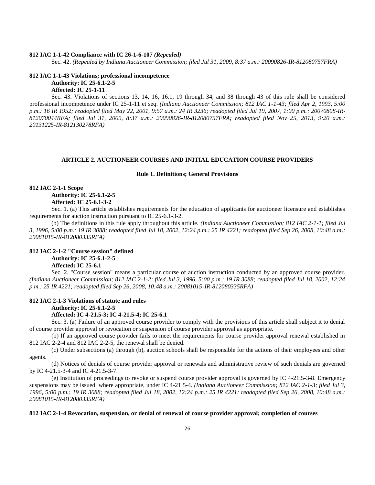#### **812 IAC 1-1-42 Compliance with IC 26-1-6-107** *(Repealed)*

Sec. 42. *(Repealed by Indiana Auctioneer Commission; filed Jul 31, 2009, 8:37 a.m.: 20090826-IR-812080757FRA)*

### **812 IAC 1-1-43 Violations; professional incompetence Authority: IC 25-6.1-2-5 Affected: IC 25-1-11**

Sec. 43. Violations of sections 13, 14, 16, 16.1, 19 through 34, and 38 through 43 of this rule shall be considered professional incompetence under IC 25-1-11 et seq. *(Indiana Auctioneer Commission; 812 IAC 1-1-43; filed Apr 2, 1993, 5:00 p.m.: 16 IR 1952; readopted filed May 22, 2001, 9:57 a.m.: 24 IR 3236; readopted filed Jul 19, 2007, 1:00 p.m.: 20070808-IR-812070044RFA; filed Jul 31, 2009, 8:37 a.m.: 20090826-IR-812080757FRA; readopted filed Nov 25, 2013, 9:20 a.m.: 20131225-IR-812130278RFA)*

#### **ARTICLE 2. AUCTIONEER COURSES AND INITIAL EDUCATION COURSE PROVIDERS**

#### **Rule 1. Definitions; General Provisions**

#### **812 IAC 2-1-1 Scope Authority: IC 25-6.1-2-5**

#### **Affected: IC 25-6.1-3-2**

Sec. 1. (a) This article establishes requirements for the education of applicants for auctioneer licensure and establishes requirements for auction instruction pursuant to IC 25-6.1-3-2.

(b) The definitions in this rule apply throughout this article. *(Indiana Auctioneer Commission; 812 IAC 2-1-1; filed Jul 3, 1996, 5:00 p.m.: 19 IR 3088; readopted filed Jul 18, 2002, 12:24 p.m.: 25 IR 4221; readopted filed Sep 26, 2008, 10:48 a.m.: 20081015-IR-812080335RFA)*

### **812 IAC 2-1-2 "Course session" defined**

**Authority: IC 25-6.1-2-5**

### **Affected: IC 25-6.1**

Sec. 2. "Course session" means a particular course of auction instruction conducted by an approved course provider. *(Indiana Auctioneer Commission; 812 IAC 2-1-2; filed Jul 3, 1996, 5:00 p.m.: 19 IR 3088; readopted filed Jul 18, 2002, 12:24 p.m.: 25 IR 4221; readopted filed Sep 26, 2008, 10:48 a.m.: 20081015-IR-812080335RFA)*

#### **812 IAC 2-1-3 Violations of statute and rules**

#### **Authority: IC 25-6.1-2-5**

#### **Affected: IC 4-21.5-3; IC 4-21.5-4; IC 25-6.1**

Sec. 3. (a) Failure of an approved course provider to comply with the provisions of this article shall subject it to denial of course provider approval or revocation or suspension of course provider approval as appropriate.

(b) If an approved course provider fails to meet the requirements for course provider approval renewal established in 812 IAC 2-2-4 and 812 IAC 2-2-5, the renewal shall be denied.

(c) Under subsections (a) through (b), auction schools shall be responsible for the actions of their employees and other agents.

(d) Notices of denials of course provider approval or renewals and administrative review of such denials are governed by IC 4-21.5-3-4 and IC 4-21.5-3-7.

(e) Institution of proceedings to revoke or suspend course provider approval is governed by IC 4-21.5-3-8. Emergency suspensions may be issued, where appropriate, under IC 4-21.5-4. *(Indiana Auctioneer Commission; 812 IAC 2-1-3; filed Jul 3, 1996, 5:00 p.m.: 19 IR 3088; readopted filed Jul 18, 2002, 12:24 p.m.: 25 IR 4221; readopted filed Sep 26, 2008, 10:48 a.m.: 20081015-IR-812080335RFA)*

#### **812 IAC 2-1-4 Revocation, suspension, or denial of renewal of course provider approval; completion of courses**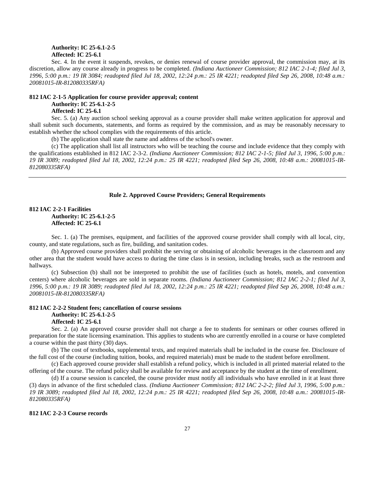#### **Authority: IC 25-6.1-2-5 Affected: IC 25-6.1**

Sec. 4. In the event it suspends, revokes, or denies renewal of course provider approval, the commission may, at its discretion, allow any course already in progress to be completed. *(Indiana Auctioneer Commission; 812 IAC 2-1-4; filed Jul 3, 1996, 5:00 p.m.: 19 IR 3084; readopted filed Jul 18, 2002, 12:24 p.m.: 25 IR 4221; readopted filed Sep 26, 2008, 10:48 a.m.: 20081015-IR-812080335RFA)*

### **812 IAC 2-1-5 Application for course provider approval; content Authority: IC 25-6.1-2-5**

### **Affected: IC 25-6.1**

Sec. 5. (a) Any auction school seeking approval as a course provider shall make written application for approval and shall submit such documents, statements, and forms as required by the commission, and as may be reasonably necessary to establish whether the school complies with the requirements of this article.

(b) The application shall state the name and address of the school's owner.

(c) The application shall list all instructors who will be teaching the course and include evidence that they comply with the qualifications established in 812 IAC 2-3-2. *(Indiana Auctioneer Commission; 812 IAC 2-1-5; filed Jul 3, 1996, 5:00 p.m.: 19 IR 3089; readopted filed Jul 18, 2002, 12:24 p.m.: 25 IR 4221; readopted filed Sep 26, 2008, 10:48 a.m.: 20081015-IR-812080335RFA)*

#### **Rule 2. Approved Course Providers; General Requirements**

### **812 IAC 2-2-1 Facilities Authority: IC 25-6.1-2-5 Affected: IC 25-6.1**

Sec. 1. (a) The premises, equipment, and facilities of the approved course provider shall comply with all local, city, county, and state regulations, such as fire, building, and sanitation codes.

(b) Approved course providers shall prohibit the serving or obtaining of alcoholic beverages in the classroom and any other area that the student would have access to during the time class is in session, including breaks, such as the restroom and hallways.

(c) Subsection (b) shall not be interpreted to prohibit the use of facilities (such as hotels, motels, and convention centers) where alcoholic beverages are sold in separate rooms. *(Indiana Auctioneer Commission; 812 IAC 2-2-1; filed Jul 3, 1996, 5:00 p.m.: 19 IR 3089; readopted filed Jul 18, 2002, 12:24 p.m.: 25 IR 4221; readopted filed Sep 26, 2008, 10:48 a.m.: 20081015-IR-812080335RFA)*

#### **812 IAC 2-2-2 Student fees; cancellation of course sessions Authority: IC 25-6.1-2-5 Affected: IC 25-6.1**

Sec. 2. (a) An approved course provider shall not charge a fee to students for seminars or other courses offered in preparation for the state licensing examination. This applies to students who are currently enrolled in a course or have completed a course within the past thirty (30) days.

(b) The cost of textbooks, supplemental texts, and required materials shall be included in the course fee. Disclosure of the full cost of the course (including tuition, books, and required materials) must be made to the student before enrollment.

(c) Each approved course provider shall establish a refund policy, which is included in all printed material related to the offering of the course. The refund policy shall be available for review and acceptance by the student at the time of enrollment.

(d) If a course session is canceled, the course provider must notify all individuals who have enrolled in it at least three (3) days in advance of the first scheduled class. *(Indiana Auctioneer Commission; 812 IAC 2-2-2; filed Jul 3, 1996, 5:00 p.m.: 19 IR 3089; readopted filed Jul 18, 2002, 12:24 p.m.: 25 IR 4221; readopted filed Sep 26, 2008, 10:48 a.m.: 20081015-IR-812080335RFA)*

#### **812 IAC 2-2-3 Course records**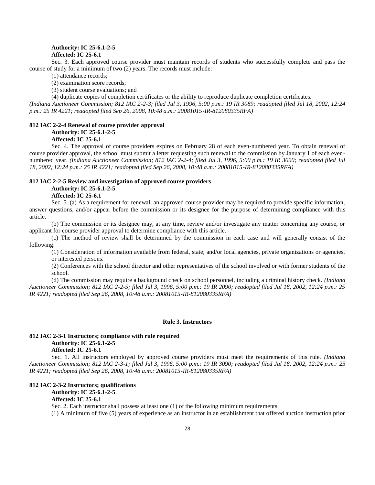#### **Authority: IC 25-6.1-2-5 Affected: IC 25-6.1**

Sec. 3. Each approved course provider must maintain records of students who successfully complete and pass the course of study for a minimum of two (2) years. The records must include:

(1) attendance records;

(2) examination score records;

(3) student course evaluations; and

(4) duplicate copies of completion certificates or the ability to reproduce duplicate completion certificates.

*(Indiana Auctioneer Commission; 812 IAC 2-2-3; filed Jul 3, 1996, 5:00 p.m.: 19 IR 3089; readopted filed Jul 18, 2002, 12:24 p.m.: 25 IR 4221; readopted filed Sep 26, 2008, 10:48 a.m.: 20081015-IR-812080335RFA)*

#### **812 IAC 2-2-4 Renewal of course provider approval**

#### **Authority: IC 25-6.1-2-5**

**Affected: IC 25-6.1**

Sec. 4. The approval of course providers expires on February 28 of each even-numbered year. To obtain renewal of course provider approval, the school must submit a letter requesting such renewal to the commission by January 1 of each evennumbered year. *(Indiana Auctioneer Commission; 812 IAC 2-2-4; filed Jul 3, 1996, 5:00 p.m.: 19 IR 3090; readopted filed Jul 18, 2002, 12:24 p.m.: 25 IR 4221; readopted filed Sep 26, 2008, 10:48 a.m.: 20081015-IR-812080335RFA)*

#### **812 IAC 2-2-5 Review and investigation of approved course providers Authority: IC 25-6.1-2-5**

**Affected: IC 25-6.1**

Sec. 5. (a) As a requirement for renewal, an approved course provider may be required to provide specific information, answer questions, and/or appear before the commission or its designee for the purpose of determining compliance with this article.

(b) The commission or its designee may, at any time, review and/or investigate any matter concerning any course, or applicant for course provider approval to determine compliance with this article.

(c) The method of review shall be determined by the commission in each case and will generally consist of the following:

(1) Consideration of information available from federal, state, and/or local agencies, private organizations or agencies, or interested persons.

(2) Conferences with the school director and other representatives of the school involved or with former students of the school.

(d) The commission may require a background check on school personnel, including a criminal history check. *(Indiana Auctioneer Commission; 812 IAC 2-2-5; filed Jul 3, 1996, 5:00 p.m.: 19 IR 2090; readopted filed Jul 18, 2002, 12:24 p.m.: 25 IR 4221; readopted filed Sep 26, 2008, 10:48 a.m.: 20081015-IR-812080335RFA)*

#### **Rule 3. Instructors**

#### **812 IAC 2-3-1 Instructors; compliance with rule required Authority: IC 25-6.1-2-5 Affected: IC 25-6.1**

Sec. 1. All instructors employed by approved course providers must meet the requirements of this rule. *(Indiana Auctioneer Commission; 812 IAC 2-3-1; filed Jul 3, 1996, 5:00 p.m.: 19 IR 3090; readopted filed Jul 18, 2002, 12:24 p.m.: 25 IR 4221; readopted filed Sep 26, 2008, 10:48 a.m.: 20081015-IR-812080335RFA)*

#### **812 IAC 2-3-2 Instructors; qualifications Authority: IC 25-6.1-2-5**

**Affected: IC 25-6.1**

Sec. 2. Each instructor shall possess at least one (1) of the following minimum requirements:

(1) A minimum of five (5) years of experience as an instructor in an establishment that offered auction instruction prior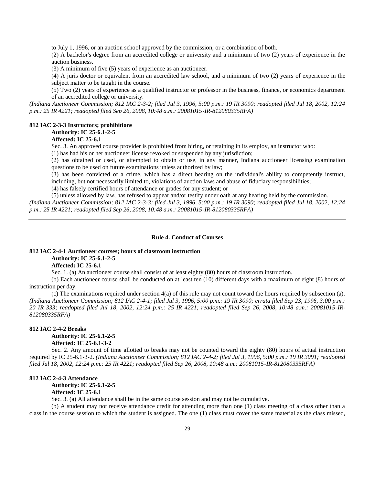to July 1, 1996, or an auction school approved by the commission, or a combination of both.

(2) A bachelor's degree from an accredited college or university and a minimum of two (2) years of experience in the auction business.

(3) A minimum of five (5) years of experience as an auctioneer.

(4) A juris doctor or equivalent from an accredited law school, and a minimum of two (2) years of experience in the subject matter to be taught in the course.

(5) Two (2) years of experience as a qualified instructor or professor in the business, finance, or economics department of an accredited college or university.

*(Indiana Auctioneer Commission; 812 IAC 2-3-2; filed Jul 3, 1996, 5:00 p.m.: 19 IR 3090; readopted filed Jul 18, 2002, 12:24 p.m.: 25 IR 4221; readopted filed Sep 26, 2008, 10:48 a.m.: 20081015-IR-812080335RFA)*

#### **812 IAC 2-3-3 Instructors; prohibitions**

#### **Authority: IC 25-6.1-2-5**

#### **Affected: IC 25-6.1**

Sec. 3. An approved course provider is prohibited from hiring, or retaining in its employ, an instructor who:

(1) has had his or her auctioneer license revoked or suspended by any jurisdiction;

(2) has obtained or used, or attempted to obtain or use, in any manner, Indiana auctioneer licensing examination questions to be used on future examinations unless authorized by law;

(3) has been convicted of a crime, which has a direct bearing on the individual's ability to competently instruct, including, but not necessarily limited to, violations of auction laws and abuse of fiduciary responsibilities;

(4) has falsely certified hours of attendance or grades for any student; or

(5) unless allowed by law, has refused to appear and/or testify under oath at any hearing held by the commission. *(Indiana Auctioneer Commission; 812 IAC 2-3-3; filed Jul 3, 1996, 5:00 p.m.: 19 IR 3090; readopted filed Jul 18, 2002, 12:24 p.m.: 25 IR 4221; readopted filed Sep 26, 2008, 10:48 a.m.: 20081015-IR-812080335RFA)*

#### **Rule 4. Conduct of Courses**

### **812 IAC 2-4-1 Auctioneer courses; hours of classroom instruction Authority: IC 25-6.1-2-5**

#### **Affected: IC 25-6.1**

Sec. 1. (a) An auctioneer course shall consist of at least eighty (80) hours of classroom instruction.

(b) Each auctioneer course shall be conducted on at least ten (10) different days with a maximum of eight (8) hours of instruction per day.

(c) The examinations required under section 4(a) of this rule may not count toward the hours required by subsection (a). *(Indiana Auctioneer Commission; 812 IAC 2-4-1; filed Jul 3, 1996, 5:00 p.m.: 19 IR 3090; errata filed Sep 23, 1996, 3:00 p.m.: 20 IR 333; readopted filed Jul 18, 2002, 12:24 p.m.: 25 IR 4221; readopted filed Sep 26, 2008, 10:48 a.m.: 20081015-IR-812080335RFA)*

#### **812 IAC 2-4-2 Breaks**

**Authority: IC 25-6.1-2-5 Affected: IC 25-6.1-3-2**

Sec. 2. Any amount of time allotted to breaks may not be counted toward the eighty (80) hours of actual instruction required by IC 25-6.1-3-2. *(Indiana Auctioneer Commission; 812 IAC 2-4-2; filed Jul 3, 1996, 5:00 p.m.: 19 IR 3091; readopted filed Jul 18, 2002, 12:24 p.m.: 25 IR 4221; readopted filed Sep 26, 2008, 10:48 a.m.: 20081015-IR-812080335RFA)*

#### **812 IAC 2-4-3 Attendance**

**Authority: IC 25-6.1-2-5**

#### **Affected: IC 25-6.1**

Sec. 3. (a) All attendance shall be in the same course session and may not be cumulative.

(b) A student may not receive attendance credit for attending more than one (1) class meeting of a class other than a class in the course session to which the student is assigned. The one (1) class must cover the same material as the class missed,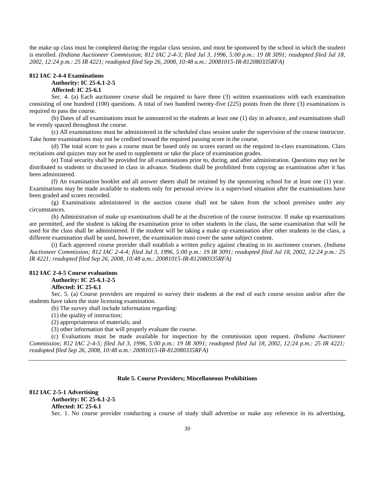the make up class must be completed during the regular class session, and must be sponsored by the school in which the student is enrolled. *(Indiana Auctioneer Commission; 812 IAC 2-4-3; filed Jul 3, 1996, 5:00 p.m.: 19 IR 3091; readopted filed Jul 18, 2002, 12:24 p.m.: 25 IR 4221; readopted filed Sep 26, 2008, 10:48 a.m.: 20081015-IR-812080335RFA)*

#### **812 IAC 2-4-4 Examinations**

#### **Authority: IC 25-6.1-2-5**

#### **Affected: IC 25-6.1**

Sec. 4. (a) Each auctioneer course shall be required to have three (3) written examinations with each examination consisting of one hundred (100) questions. A total of two hundred twenty-five (225) points from the three (3) examinations is required to pass the course.

(b) Dates of all examinations must be announced to the students at least one (1) day in advance, and examinations shall be evenly spaced throughout the course.

(c) All examinations must be administered in the scheduled class session under the supervision of the course instructor. Take home examinations may not be credited toward the required passing score in the course.

(d) The total score to pass a course must be based only on scores earned on the required in-class examinations. Class recitations and quizzes may not be used to supplement or take the place of examination grades.

(e) Total security shall be provided for all examinations prior to, during, and after administration. Questions may not be distributed to students or discussed in class in advance. Students shall be prohibited from copying an examination after it has been administered.

(f) An examination booklet and all answer sheets shall be retained by the sponsoring school for at least one (1) year. Examinations may be made available to students only for personal review in a supervised situation after the examinations have been graded and scores recorded.

(g) Examinations administered in the auction course shall not be taken from the school premises under any circumstances.

(h) Administration of make up examinations shall be at the discretion of the course instructor. If make up examinations are permitted, and the student is taking the examination prior to other students in the class, the same examination that will be used for the class shall be administered. If the student will be taking a make up examination after other students in the class, a different examination shall be used, however, the examination must cover the same subject content.

(i) Each approved course provider shall establish a written policy against cheating in its auctioneer courses. *(Indiana Auctioneer Commission; 812 IAC 2-4-4; filed Jul 3, 1996, 5:00 p.m.: 19 IR 3091; readopted filed Jul 18, 2002, 12:24 p.m.: 25 IR 4221; readopted filed Sep 26, 2008, 10:48 a.m.: 20081015-IR-812080335RFA)*

#### **812 IAC 2-4-5 Course evaluations Authority: IC 25-6.1-2-5 Affected: IC 25-6.1**

Sec. 5. (a) Course providers are required to survey their students at the end of each course session and/or after the students have taken the state licensing examination.

(b) The survey shall include information regarding:

(1) the quality of instruction;

(2) appropriateness of materials; and

(3) other information that will properly evaluate the course.

(c) Evaluations must be made available for inspection by the commission upon request. *(Indiana Auctioneer Commission; 812 IAC 2-4-5; filed Jul 3, 1996, 5:00 p.m.: 19 IR 3091; readopted filed Jul 18, 2002, 12:24 p.m.: 25 IR 4221; readopted filed Sep 26, 2008, 10:48 a.m.: 20081015-IR-812080335RFA)*

#### **Rule 5. Course Providers; Miscellaneous Prohibitions**

### **812 IAC 2-5-1 Advertising**

### **Authority: IC 25-6.1-2-5**

**Affected: IC 25-6.1**

Sec. 1. No course provider conducting a course of study shall advertise or make any reference in its advertising,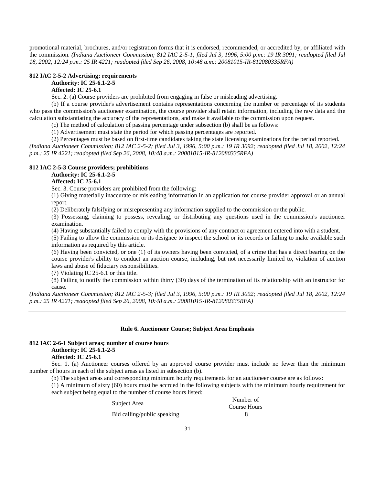promotional material, brochures, and/or registration forms that it is endorsed, recommended, or accredited by, or affiliated with the commission. *(Indiana Auctioneer Commission; 812 IAC 2-5-1; filed Jul 3, 1996, 5:00 p.m.: 19 IR 3091; readopted filed Jul 18, 2002, 12:24 p.m.: 25 IR 4221; readopted filed Sep 26, 2008, 10:48 a.m.: 20081015-IR-812080335RFA)*

#### **812 IAC 2-5-2 Advertising; requirements**

#### **Authority: IC 25-6.1-2-5**

#### **Affected: IC 25-6.1**

Sec. 2. (a) Course providers are prohibited from engaging in false or misleading advertising.

(b) If a course provider's advertisement contains representations concerning the number or percentage of its students who pass the commission's auctioneer examination, the course provider shall retain information, including the raw data and the calculation substantiating the accuracy of the representations, and make it available to the commission upon request.

(c) The method of calculation of passing percentage under subsection (b) shall be as follows:

(1) Advertisement must state the period for which passing percentages are reported.

(2) Percentages must be based on first-time candidates taking the state licensing examinations for the period reported.

*(Indiana Auctioneer Commission; 812 IAC 2-5-2; filed Jul 3, 1996, 5:00 p.m.: 19 IR 3092; readopted filed Jul 18, 2002, 12:24 p.m.: 25 IR 4221; readopted filed Sep 26, 2008, 10:48 a.m.: 20081015-IR-812080335RFA)*

#### **812 IAC 2-5-3 Course providers; prohibitions**

### **Authority: IC 25-6.1-2-5**

### **Affected: IC 25-6.1**

Sec. 3. Course providers are prohibited from the following:

(1) Giving materially inaccurate or misleading information in an application for course provider approval or an annual report.

(2) Deliberately falsifying or misrepresenting any information supplied to the commission or the public.

(3) Possessing, claiming to possess, revealing, or distributing any questions used in the commission's auctioneer examination.

(4) Having substantially failed to comply with the provisions of any contract or agreement entered into with a student.

(5) Failing to allow the commission or its designee to inspect the school or its records or failing to make available such information as required by this article.

(6) Having been convicted, or one (1) of its owners having been convicted, of a crime that has a direct bearing on the course provider's ability to conduct an auction course, including, but not necessarily limited to, violation of auction laws and abuse of fiduciary responsibilities.

(7) Violating IC 25-6.1 or this title.

(8) Failing to notify the commission within thirty (30) days of the termination of its relationship with an instructor for cause.

*(Indiana Auctioneer Commission; 812 IAC 2-5-3; filed Jul 3, 1996, 5:00 p.m.: 19 IR 3092; readopted filed Jul 18, 2002, 12:24 p.m.: 25 IR 4221; readopted filed Sep 26, 2008, 10:48 a.m.: 20081015-IR-812080335RFA)*

#### **Rule 6. Auctioneer Course; Subject Area Emphasis**

### **812 IAC 2-6-1 Subject areas; number of course hours Authority: IC 25-6.1-2-5 Affected: IC 25-6.1**

Sec. 1. (a) Auctioneer courses offered by an approved course provider must include no fewer than the minimum number of hours in each of the subject areas as listed in subsection (b).

(b) The subject areas and corresponding minimum hourly requirements for an auctioneer course are as follows:

(1) A minimum of sixty (60) hours must be accrued in the following subjects with the minimum hourly requirement for each subject being equal to the number of course hours listed:

Bid calling/public speaking 8

Subject Area Number of Number of Course Hours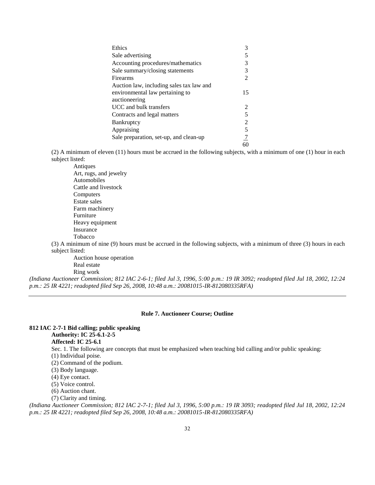| Ethics                                   |                |
|------------------------------------------|----------------|
| Sale advertising                         |                |
| Accounting procedures/mathematics        | 3              |
| Sale summary/closing statements          | 3              |
| Firearms                                 | $\mathfrak{D}$ |
| Auction law, including sales tax law and |                |
| environmental law pertaining to          | 15             |
| auctioneering                            |                |
| UCC and bulk transfers                   | 2              |
| Contracts and legal matters              | 5              |
| <b>Bankruptcy</b>                        | 2              |
| Appraising                               | 5              |
| Sale preparation, set-up, and clean-up   |                |
|                                          | 60             |

(2) A minimum of eleven (11) hours must be accrued in the following subjects, with a minimum of one (1) hour in each subject listed:

Antiques

Art, rugs, and jewelry Automobiles Cattle and livestock Computers Estate sales Farm machinery Furniture Heavy equipment Insurance Tobacco

(3) A minimum of nine (9) hours must be accrued in the following subjects, with a minimum of three (3) hours in each subject listed:

Auction house operation Real estate Ring work

*(Indiana Auctioneer Commission; 812 IAC 2-6-1; filed Jul 3, 1996, 5:00 p.m.: 19 IR 3092; readopted filed Jul 18, 2002, 12:24 p.m.: 25 IR 4221; readopted filed Sep 26, 2008, 10:48 a.m.: 20081015-IR-812080335RFA)*

### **Rule 7. Auctioneer Course; Outline**

| 812 IAC 2-7-1 Bid calling; public speaking                                                                                   |
|------------------------------------------------------------------------------------------------------------------------------|
| <b>Authority: IC 25-6.1-2-5</b>                                                                                              |
| <b>Affected: IC 25-6.1</b>                                                                                                   |
| Sec. 1. The following are concepts that must be emphasized when teaching bid calling and/or public speaking:                 |
| $(1)$ Individual poise.                                                                                                      |
| (2) Command of the podium.                                                                                                   |
| (3) Body language.                                                                                                           |
| $(4)$ Eye contact.                                                                                                           |
| (5) Voice control.                                                                                                           |
| (6) Auction chant.                                                                                                           |
| (7) Clarity and timing.                                                                                                      |
| (Indiana Auctioneer Commission; 812 IAC 2-7-1; filed Jul 3, 1996, 5:00 p.m.: 19 IR 3093; readopted filed Jul 18, 2002, 12:24 |

*p.m.: 25 IR 4221; readopted filed Sep 26, 2008, 10:48 a.m.: 20081015-IR-812080335RFA)*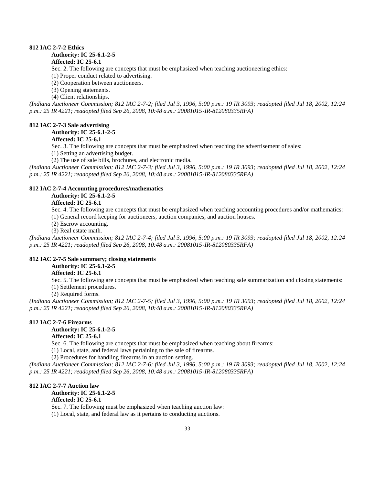### **812 IAC 2-7-2 Ethics**

#### **Authority: IC 25-6.1-2-5**

#### **Affected: IC 25-6.1**

Sec. 2. The following are concepts that must be emphasized when teaching auctioneering ethics:

(1) Proper conduct related to advertising.

(2) Cooperation between auctioneers.

(3) Opening statements.

(4) Client relationships.

*(Indiana Auctioneer Commission; 812 IAC 2-7-2; filed Jul 3, 1996, 5:00 p.m.: 19 IR 3093; readopted filed Jul 18, 2002, 12:24 p.m.: 25 IR 4221; readopted filed Sep 26, 2008, 10:48 a.m.: 20081015-IR-812080335RFA)*

#### **812 IAC 2-7-3 Sale advertising**

**Authority: IC 25-6.1-2-5**

#### **Affected: IC 25-6.1**

Sec. 3. The following are concepts that must be emphasized when teaching the advertisement of sales:

(1) Setting an advertising budget.

(2) The use of sale bills, brochures, and electronic media.

*(Indiana Auctioneer Commission; 812 IAC 2-7-3; filed Jul 3, 1996, 5:00 p.m.: 19 IR 3093; readopted filed Jul 18, 2002, 12:24 p.m.: 25 IR 4221; readopted filed Sep 26, 2008, 10:48 a.m.: 20081015-IR-812080335RFA)*

#### **812 IAC 2-7-4 Accounting procedures/mathematics**

### **Authority: IC 25-6.1-2-5**

### **Affected: IC 25-6.1**

Sec. 4. The following are concepts that must be emphasized when teaching accounting procedures and/or mathematics:

(1) General record keeping for auctioneers, auction companies, and auction houses.

(2) Escrow accounting.

(3) Real estate math.

*(Indiana Auctioneer Commission; 812 IAC 2-7-4; filed Jul 3, 1996, 5:00 p.m.: 19 IR 3093; readopted filed Jul 18, 2002, 12:24 p.m.: 25 IR 4221; readopted filed Sep 26, 2008, 10:48 a.m.: 20081015-IR-812080335RFA)*

#### **812 IAC 2-7-5 Sale summary; closing statements**

**Authority: IC 25-6.1-2-5**

#### **Affected: IC 25-6.1**

Sec. 5. The following are concepts that must be emphasized when teaching sale summarization and closing statements: (1) Settlement procedures.

(2) Required forms.

*(Indiana Auctioneer Commission; 812 IAC 2-7-5; filed Jul 3, 1996, 5:00 p.m.: 19 IR 3093; readopted filed Jul 18, 2002, 12:24 p.m.: 25 IR 4221; readopted filed Sep 26, 2008, 10:48 a.m.: 20081015-IR-812080335RFA)*

#### **812 IAC 2-7-6 Firearms**

**Authority: IC 25-6.1-2-5 Affected: IC 25-6.1**

Sec. 6. The following are concepts that must be emphasized when teaching about firearms:

(1) Local, state, and federal laws pertaining to the sale of firearms.

(2) Procedures for handling firearms in an auction setting.

*(Indiana Auctioneer Commission; 812 IAC 2-7-6; filed Jul 3, 1996, 5:00 p.m.: 19 IR 3093; readopted filed Jul 18, 2002, 12:24 p.m.: 25 IR 4221; readopted filed Sep 26, 2008, 10:48 a.m.: 20081015-IR-812080335RFA)*

#### **812 IAC 2-7-7 Auction law**

**Authority: IC 25-6.1-2-5 Affected: IC 25-6.1**

Sec. 7. The following must be emphasized when teaching auction law:

(1) Local, state, and federal law as it pertains to conducting auctions.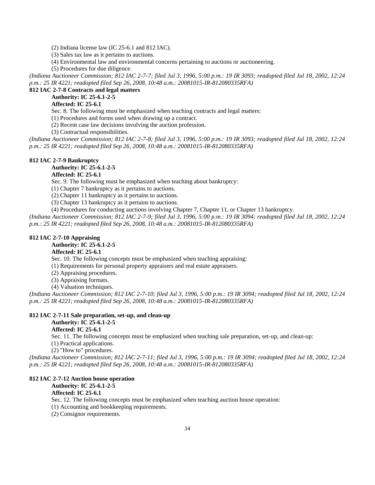(2) Indiana license law (IC 25-6.1 and 812 IAC).

(3) Sales tax law as it pertains to auctions.

(4) Environmental law and environmental concerns pertaining to auctions or auctioneering.

(5) Procedures for due diligence.

*(Indiana Auctioneer Commission; 812 IAC 2-7-7; filed Jul 3, 1996, 5:00 p.m.: 19 IR 3093; readopted filed Jul 18, 2002, 12:24 p.m.: 25 IR 4221; readopted filed Sep 26, 2008, 10:48 a.m.: 20081015-IR-812080335RFA)*

### **812 IAC 2-7-8 Contracts and legal matters**

**Authority: IC 25-6.1-2-5**

### **Affected: IC 25-6.1**

Sec. 8. The following must be emphasized when teaching contracts and legal matters:

(1) Procedures and forms used when drawing up a contract.

(2) Recent case law decisions involving the auction profession.

(3) Contractual responsibilities.

*(Indiana Auctioneer Commission; 812 IAC 2-7-8; filed Jul 3, 1996, 5:00 p.m.: 19 IR 3093; readopted filed Jul 18, 2002, 12:24 p.m.: 25 IR 4221; readopted filed Sep 26, 2008, 10:48 a.m.: 20081015-IR-812080335RFA)*

#### **812 IAC 2-7-9 Bankruptcy**

**Authority: IC 25-6.1-2-5**

### **Affected: IC 25-6.1**

Sec. 9. The following must be emphasized when teaching about bankruptcy:

(1) Chapter 7 bankruptcy as it pertains to auctions.

(2) Chapter 11 bankruptcy as it pertains to auctions.

(3) Chapter 13 bankruptcy as it pertains to auctions.

(4) Procedures for conducting auctions involving Chapter 7, Chapter 11, or Chapter 13 bankruptcy.

*(Indiana Auctioneer Commission; 812 IAC 2-7-9; filed Jul 3, 1996, 5:00 p.m.: 19 IR 3094; readopted filed Jul 18, 2002, 12:24 p.m.: 25 IR 4221; readopted filed Sep 26, 2008, 10:48 a.m.: 20081015-IR-812080335RFA)*

#### **812 IAC 2-7-10 Appraising**

**Authority: IC 25-6.1-2-5**

#### **Affected: IC 25-6.1**

Sec. 10. The following concepts must be emphasized when teaching appraising:

(1) Requirements for personal property appraisers and real estate appraisers.

(2) Appraising procedures.

(3) Appraising formats.

(4) Valuation techniques.

*(Indiana Auctioneer Commission; 812 IAC 2-7-10; filed Jul 3, 1996, 5:00 p.m.: 19 IR 3094; readopted filed Jul 18, 2002, 12:24 p.m.: 25 IR 4221; readopted filed Sep 26, 2008, 10:48 a.m.: 20081015-IR-812080335RFA)*

### **812 IAC 2-7-11 Sale preparation, set-up, and clean-up**

### **Authority: IC 25-6.1-2-5**

**Affected: IC 25-6.1**

Sec. 11. The following concepts must be emphasized when teaching sale preparation, set-up, and clean-up:

(1) Practical applications.

(2) "How to" procedures.

*(Indiana Auctioneer Commission; 812 IAC 2-7-11; filed Jul 3, 1996, 5:00 p.m.: 19 IR 3094; readopted filed Jul 18, 2002, 12:24 p.m.: 25 IR 4221; readopted filed Sep 26, 2008, 10:48 a.m.: 20081015-IR-812080335RFA)*

#### **812 IAC 2-7-12 Auction house operation**

**Authority: IC 25-6.1-2-5**

#### **Affected: IC 25-6.1**

Sec. 12. The following concepts must be emphasized when teaching auction house operation:

(1) Accounting and bookkeeping requirements.

(2) Consignor requirements.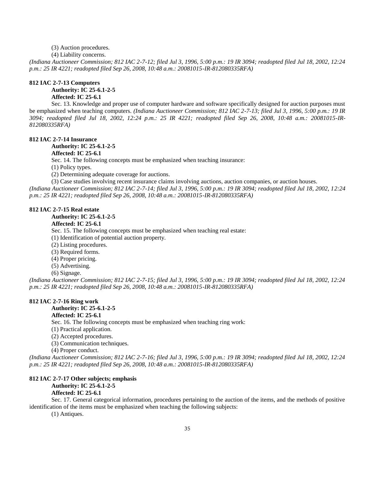#### (3) Auction procedures.

(4) Liability concerns.

*(Indiana Auctioneer Commission; 812 IAC 2-7-12; filed Jul 3, 1996, 5:00 p.m.: 19 IR 3094; readopted filed Jul 18, 2002, 12:24 p.m.: 25 IR 4221; readopted filed Sep 26, 2008, 10:48 a.m.: 20081015-IR-812080335RFA)*

### **812 IAC 2-7-13 Computers Authority: IC 25-6.1-2-5**

### **Affected: IC 25-6.1**

Sec. 13. Knowledge and proper use of computer hardware and software specifically designed for auction purposes must be emphasized when teaching computers. *(Indiana Auctioneer Commission; 812 IAC 2-7-13; filed Jul 3, 1996, 5:00 p.m.: 19 IR 3094; readopted filed Jul 18, 2002, 12:24 p.m.: 25 IR 4221; readopted filed Sep 26, 2008, 10:48 a.m.: 20081015-IR-812080335RFA)*

#### **812 IAC 2-7-14 Insurance**

### **Authority: IC 25-6.1-2-5**

### **Affected: IC 25-6.1**

Sec. 14. The following concepts must be emphasized when teaching insurance:

(1) Policy types.

(2) Determining adequate coverage for auctions.

(3) Case studies involving recent insurance claims involving auctions, auction companies, or auction houses. *(Indiana Auctioneer Commission; 812 IAC 2-7-14; filed Jul 3, 1996, 5:00 p.m.: 19 IR 3094; readopted filed Jul 18, 2002, 12:24 p.m.: 25 IR 4221; readopted filed Sep 26, 2008, 10:48 a.m.: 20081015-IR-812080335RFA)*

#### **812 IAC 2-7-15 Real estate**

**Authority: IC 25-6.1-2-5**

#### **Affected: IC 25-6.1**

Sec. 15. The following concepts must be emphasized when teaching real estate:

(1) Identification of potential auction property.

(2) Listing procedures.

(3) Required forms.

(4) Proper pricing.

- (5) Advertising.
- (6) Signage.

*(Indiana Auctioneer Commission; 812 IAC 2-7-15; filed Jul 3, 1996, 5:00 p.m.: 19 IR 3094; readopted filed Jul 18, 2002, 12:24 p.m.: 25 IR 4221; readopted filed Sep 26, 2008, 10:48 a.m.: 20081015-IR-812080335RFA)*

#### **812 IAC 2-7-16 Ring work**

#### **Authority: IC 25-6.1-2-5**

### **Affected: IC 25-6.1**

Sec. 16. The following concepts must be emphasized when teaching ring work:

(1) Practical application.

(2) Accepted procedures.

(3) Communication techniques.

(4) Proper conduct.

*(Indiana Auctioneer Commission; 812 IAC 2-7-16; filed Jul 3, 1996, 5:00 p.m.: 19 IR 3094; readopted filed Jul 18, 2002, 12:24 p.m.: 25 IR 4221; readopted filed Sep 26, 2008, 10:48 a.m.: 20081015-IR-812080335RFA)*

#### **812 IAC 2-7-17 Other subjects; emphasis**

**Authority: IC 25-6.1-2-5**

#### **Affected: IC 25-6.1**

Sec. 17. General categorical information, procedures pertaining to the auction of the items, and the methods of positive identification of the items must be emphasized when teaching the following subjects:

(1) Antiques.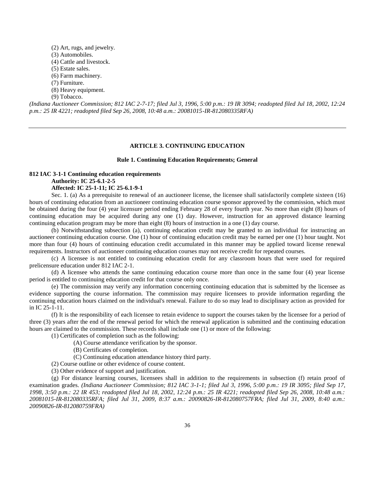- (2) Art, rugs, and jewelry.
- (3) Automobiles.
- (4) Cattle and livestock.
- (5) Estate sales.
- (6) Farm machinery.
- (7) Furniture.
- (8) Heavy equipment.
- (9) Tobacco.

*(Indiana Auctioneer Commission; 812 IAC 2-7-17; filed Jul 3, 1996, 5:00 p.m.: 19 IR 3094; readopted filed Jul 18, 2002, 12:24 p.m.: 25 IR 4221; readopted filed Sep 26, 2008, 10:48 a.m.: 20081015-IR-812080335RFA)*

#### **ARTICLE 3. CONTINUING EDUCATION**

#### **Rule 1. Continuing Education Requirements; General**

#### **812 IAC 3-1-1 Continuing education requirements Authority: IC 25-6.1-2-5 Affected: IC 25-1-11; IC 25-6.1-9-1**

Sec. 1. (a) As a prerequisite to renewal of an auctioneer license, the licensee shall satisfactorily complete sixteen (16) hours of continuing education from an auctioneer continuing education course sponsor approved by the commission, which must be obtained during the four (4) year licensure period ending February 28 of every fourth year. No more than eight (8) hours of continuing education may be acquired during any one (1) day. However, instruction for an approved distance learning continuing education program may be more than eight (8) hours of instruction in a one (1) day course.

(b) Notwithstanding subsection (a), continuing education credit may be granted to an individual for instructing an auctioneer continuing education course. One (1) hour of continuing education credit may be earned per one (1) hour taught. Not more than four (4) hours of continuing education credit accumulated in this manner may be applied toward license renewal requirements. Instructors of auctioneer continuing education courses may not receive credit for repeated courses.

(c) A licensee is not entitled to continuing education credit for any classroom hours that were used for required prelicensure education under 812 IAC 2-1.

(d) A licensee who attends the same continuing education course more than once in the same four (4) year license period is entitled to continuing education credit for that course only once.

(e) The commission may verify any information concerning continuing education that is submitted by the licensee as evidence supporting the course information. The commission may require licensees to provide information regarding the continuing education hours claimed on the individual's renewal. Failure to do so may lead to disciplinary action as provided for in IC 25-1-11.

(f) It is the responsibility of each licensee to retain evidence to support the courses taken by the licensee for a period of three (3) years after the end of the renewal period for which the renewal application is submitted and the continuing education hours are claimed to the commission. These records shall include one (1) or more of the following:

- (1) Certificates of completion such as the following:
	- (A) Course attendance verification by the sponsor.
	- (B) Certificates of completion.
	- (C) Continuing education attendance history third party.
- (2) Course outline or other evidence of course content.
- (3) Other evidence of support and justification.

(g) For distance learning courses, licensees shall in addition to the requirements in subsection (f) retain proof of examination grades. *(Indiana Auctioneer Commission; 812 IAC 3-1-1; filed Jul 3, 1996, 5:00 p.m.: 19 IR 3095; filed Sep 17, 1998, 3:50 p.m.: 22 IR 453; readopted filed Jul 18, 2002, 12:24 p.m.: 25 IR 4221; readopted filed Sep 26, 2008, 10:48 a.m.: 20081015-IR-812080335RFA; filed Jul 31, 2009, 8:37 a.m.: 20090826-IR-812080757FRA; filed Jul 31, 2009, 8:40 a.m.: 20090826-IR-812080759FRA)*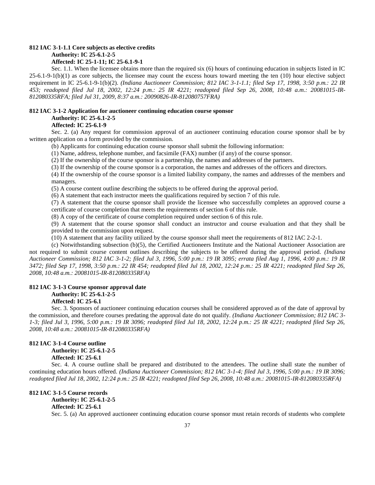#### **812 IAC 3-1-1.1 Core subjects as elective credits**

**Authority: IC 25-6.1-2-5**

#### **Affected: IC 25-1-11; IC 25-6.1-9-1**

Sec. 1.1. When the licensee obtains more than the required six (6) hours of continuing education in subjects listed in IC  $25-6.1-9-1(b)(1)$  as core subjects, the licensee may count the excess hours toward meeting the ten  $(10)$  hour elective subject requirement in IC 25-6.1-9-1(b)(2). *(Indiana Auctioneer Commission; 812 IAC 3-1-1.1; filed Sep 17, 1998, 3:50 p.m.: 22 IR 453; readopted filed Jul 18, 2002, 12:24 p.m.: 25 IR 4221; readopted filed Sep 26, 2008, 10:48 a.m.: 20081015-IR-812080335RFA; filed Jul 31, 2009, 8:37 a.m.: 20090826-IR-812080757FRA)*

#### **812 IAC 3-1-2 Application for auctioneer continuing education course sponsor Authority: IC 25-6.1-2-5**

#### **Affected: IC 25-6.1-9**

Sec. 2. (a) Any request for commission approval of an auctioneer continuing education course sponsor shall be by written application on a form provided by the commission.

(b) Applicants for continuing education course sponsor shall submit the following information:

(1) Name, address, telephone number, and facsimile (FAX) number (if any) of the course sponsor.

(2) If the ownership of the course sponsor is a partnership, the names and addresses of the partners.

(3) If the ownership of the course sponsor is a corporation, the names and addresses of the officers and directors. (4) If the ownership of the course sponsor is a limited liability company, the names and addresses of the members and

managers.

(5) A course content outline describing the subjects to be offered during the approval period.

(6) A statement that each instructor meets the qualifications required by section 7 of this rule.

(7) A statement that the course sponsor shall provide the licensee who successfully completes an approved course a certificate of course completion that meets the requirements of section 6 of this rule.

(8) A copy of the certificate of course completion required under section 6 of this rule.

(9) A statement that the course sponsor shall conduct an instructor and course evaluation and that they shall be provided to the commission upon request.

(10) A statement that any facility utilized by the course sponsor shall meet the requirements of 812 IAC 2-2-1.

(c) Notwithstanding subsection (b)(5), the Certified Auctioneers Institute and the National Auctioneer Association are not required to submit course content outlines describing the subjects to be offered during the approval period. *(Indiana Auctioneer Commission; 812 IAC 3-1-2; filed Jul 3, 1996, 5:00 p.m.: 19 IR 3095; errata filed Aug 1, 1996, 4:00 p.m.: 19 IR 3472; filed Sep 17, 1998, 3:50 p.m.: 22 IR 454; readopted filed Jul 18, 2002, 12:24 p.m.: 25 IR 4221; readopted filed Sep 26, 2008, 10:48 a.m.: 20081015-IR-812080335RFA)*

#### **812 IAC 3-1-3 Course sponsor approval date**

#### **Authority: IC 25-6.1-2-5**

#### **Affected: IC 25-6.1**

Sec. 3. Sponsors of auctioneer continuing education courses shall be considered approved as of the date of approval by the commission, and therefore courses predating the approval date do not qualify. *(Indiana Auctioneer Commission; 812 IAC 3- 1-3; filed Jul 3, 1996, 5:00 p.m.: 19 IR 3096; readopted filed Jul 18, 2002, 12:24 p.m.: 25 IR 4221; readopted filed Sep 26, 2008, 10:48 a.m.: 20081015-IR-812080335RFA)*

### **812 IAC 3-1-4 Course outline**

**Authority: IC 25-6.1-2-5 Affected: IC 25-6.1**

Sec. 4. A course outline shall be prepared and distributed to the attendees. The outline shall state the number of continuing education hours offered. *(Indiana Auctioneer Commission; 812 IAC 3-1-4; filed Jul 3, 1996, 5:00 p.m.: 19 IR 3096; readopted filed Jul 18, 2002, 12:24 p.m.: 25 IR 4221; readopted filed Sep 26, 2008, 10:48 a.m.: 20081015-IR-812080335RFA)*

#### **812 IAC 3-1-5 Course records Authority: IC 25-6.1-2-5**

### **Affected: IC 25-6.1**

Sec. 5. (a) An approved auctioneer continuing education course sponsor must retain records of students who complete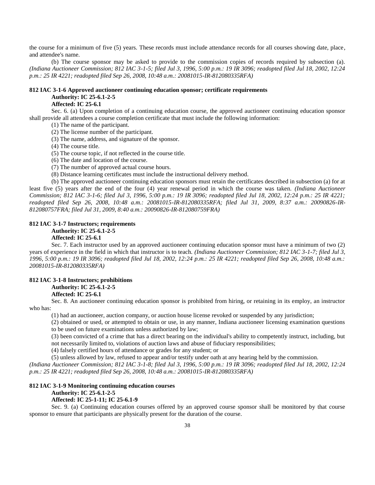the course for a minimum of five (5) years. These records must include attendance records for all courses showing date, place, and attendee's name.

(b) The course sponsor may be asked to provide to the commission copies of records required by subsection (a). *(Indiana Auctioneer Commission; 812 IAC 3-1-5; filed Jul 3, 1996, 5:00 p.m.: 19 IR 3096; readopted filed Jul 18, 2002, 12:24 p.m.: 25 IR 4221; readopted filed Sep 26, 2008, 10:48 a.m.: 20081015-IR-812080335RFA)*

#### **812 IAC 3-1-6 Approved auctioneer continuing education sponsor; certificate requirements Authority: IC 25-6.1-2-5**

#### **Affected: IC 25-6.1**

Sec. 6. (a) Upon completion of a continuing education course, the approved auctioneer continuing education sponsor shall provide all attendees a course completion certificate that must include the following information:

(1) The name of the participant.

(2) The license number of the participant.

(3) The name, address, and signature of the sponsor.

(4) The course title.

(5) The course topic, if not reflected in the course title.

(6) The date and location of the course.

(7) The number of approved actual course hours.

(8) Distance learning certificates must include the instructional delivery method.

(b) The approved auctioneer continuing education sponsors must retain the certificates described in subsection (a) for at least five (5) years after the end of the four (4) year renewal period in which the course was taken. *(Indiana Auctioneer Commission; 812 IAC 3-1-6; filed Jul 3, 1996, 5:00 p.m.: 19 IR 3096; readopted filed Jul 18, 2002, 12:24 p.m.: 25 IR 4221; readopted filed Sep 26, 2008, 10:48 a.m.: 20081015-IR-812080335RFA; filed Jul 31, 2009, 8:37 a.m.: 20090826-IR-812080757FRA; filed Jul 31, 2009, 8:40 a.m.: 20090826-IR-812080759FRA)*

### **812 IAC 3-1-7 Instructors; requirements Authority: IC 25-6.1-2-5**

### **Affected: IC 25-6.1**

Sec. 7. Each instructor used by an approved auctioneer continuing education sponsor must have a minimum of two (2) years of experience in the field in which that instructor is to teach. *(Indiana Auctioneer Commission; 812 IAC 3-1-7; filed Jul 3, 1996, 5:00 p.m.: 19 IR 3096; readopted filed Jul 18, 2002, 12:24 p.m.: 25 IR 4221; readopted filed Sep 26, 2008, 10:48 a.m.: 20081015-IR-812080335RFA)*

#### **812 IAC 3-1-8 Instructors; prohibitions**

### **Authority: IC 25-6.1-2-5**

### **Affected: IC 25-6.1**

Sec. 8. An auctioneer continuing education sponsor is prohibited from hiring, or retaining in its employ, an instructor who has:

(1) had an auctioneer, auction company, or auction house license revoked or suspended by any jurisdiction;

(2) obtained or used, or attempted to obtain or use, in any manner, Indiana auctioneer licensing examination questions to be used on future examinations unless authorized by law;

(3) been convicted of a crime that has a direct bearing on the individual's ability to competently instruct, including, but

not necessarily limited to, violations of auction laws and abuse of fiduciary responsibilities;

(4) falsely certified hours of attendance or grades for any student; or

(5) unless allowed by law, refused to appear and/or testify under oath at any hearing held by the commission.

*(Indiana Auctioneer Commission; 812 IAC 3-1-8; filed Jul 3, 1996, 5:00 p.m.: 19 IR 3096; readopted filed Jul 18, 2002, 12:24 p.m.: 25 IR 4221; readopted filed Sep 26, 2008, 10:48 a.m.: 20081015-IR-812080335RFA)*

#### **812 IAC 3-1-9 Monitoring continuing education courses**

### **Authority: IC 25-6.1-2-5**

### **Affected: IC 25-1-11; IC 25-6.1-9**

Sec. 9. (a) Continuing education courses offered by an approved course sponsor shall be monitored by that course sponsor to ensure that participants are physically present for the duration of the course.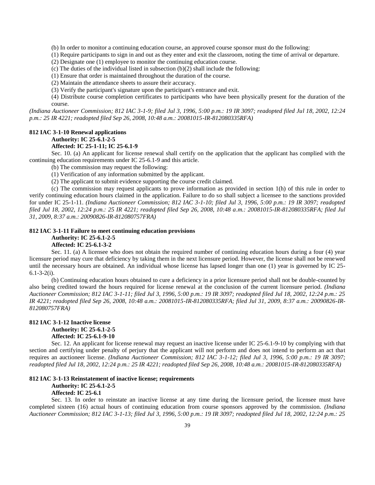(b) In order to monitor a continuing education course, an approved course sponsor must do the following:

(1) Require participants to sign in and out as they enter and exit the classroom, noting the time of arrival or departure.

(2) Designate one (1) employee to monitor the continuing education course.

(c) The duties of the individual listed in subsection (b)(2) shall include the following:

(1) Ensure that order is maintained throughout the duration of the course.

(2) Maintain the attendance sheets to assure their accuracy.

(3) Verify the participant's signature upon the participant's entrance and exit.

(4) Distribute course completion certificates to participants who have been physically present for the duration of the course.

*(Indiana Auctioneer Commission; 812 IAC 3-1-9; filed Jul 3, 1996, 5:00 p.m.: 19 IR 3097; readopted filed Jul 18, 2002, 12:24 p.m.: 25 IR 4221; readopted filed Sep 26, 2008, 10:48 a.m.: 20081015-IR-812080335RFA)*

#### **812 IAC 3-1-10 Renewal applications**

#### **Authority: IC 25-6.1-2-5**

#### **Affected: IC 25-1-11; IC 25-6.1-9**

Sec. 10. (a) An applicant for license renewal shall certify on the application that the applicant has complied with the continuing education requirements under IC 25-6.1-9 and this article.

(b) The commission may request the following:

(1) Verification of any information submitted by the applicant.

(2) The applicant to submit evidence supporting the course credit claimed.

(c) The commission may request applicants to prove information as provided in section 1(h) of this rule in order to verify continuing education hours claimed in the application. Failure to do so shall subject a licensee to the sanctions provided for under IC 25-1-11. *(Indiana Auctioneer Commission; 812 IAC 3-1-10; filed Jul 3, 1996, 5:00 p.m.: 19 IR 3097; readopted filed Jul 18, 2002, 12:24 p.m.: 25 IR 4221; readopted filed Sep 26, 2008, 10:48 a.m.: 20081015-IR-812080335RFA; filed Jul 31, 2009, 8:37 a.m.: 20090826-IR-812080757FRA)*

#### **812 IAC 3-1-11 Failure to meet continuing education provisions**

#### **Authority: IC 25-6.1-2-5**

### **Affected: IC 25-6.1-3-2**

Sec. 11. (a) A licensee who does not obtain the required number of continuing education hours during a four (4) year licensure period may cure that deficiency by taking them in the next licensure period. However, the license shall not be renewed until the necessary hours are obtained. An individual whose license has lapsed longer than one (1) year is governed by IC 25- 6.1-3-2(i).

(b) Continuing education hours obtained to cure a deficiency in a prior licensure period shall not be double-counted by also being credited toward the hours required for license renewal at the conclusion of the current licensure period. *(Indiana Auctioneer Commission; 812 IAC 3-1-11; filed Jul 3, 1996, 5:00 p.m.: 19 IR 3097; readopted filed Jul 18, 2002, 12:24 p.m.: 25 IR 4221; readopted filed Sep 26, 2008, 10:48 a.m.: 20081015-IR-812080335RFA; filed Jul 31, 2009, 8:37 a.m.: 20090826-IR-812080757FRA)*

#### **812 IAC 3-1-12 Inactive license**

**Authority: IC 25-6.1-2-5**

**Affected: IC 25-6.1-9-10**

Sec. 12. An applicant for license renewal may request an inactive license under IC 25-6.1-9-10 by complying with that section and certifying under penalty of perjury that the applicant will not perform and does not intend to perform an act that requires an auctioneer license. *(Indiana Auctioneer Commission; 812 IAC 3-1-12; filed Jul 3, 1996, 5:00 p.m.: 19 IR 3097; readopted filed Jul 18, 2002, 12:24 p.m.: 25 IR 4221; readopted filed Sep 26, 2008, 10:48 a.m.: 20081015-IR-812080335RFA)*

#### **812 IAC 3-1-13 Reinstatement of inactive license; requirements**

**Authority: IC 25-6.1-2-5**

#### **Affected: IC 25-6.1**

Sec. 13. In order to reinstate an inactive license at any time during the licensure period, the licensee must have completed sixteen (16) actual hours of continuing education from course sponsors approved by the commission. *(Indiana Auctioneer Commission; 812 IAC 3-1-13; filed Jul 3, 1996, 5:00 p.m.: 19 IR 3097; readopted filed Jul 18, 2002, 12:24 p.m.: 25*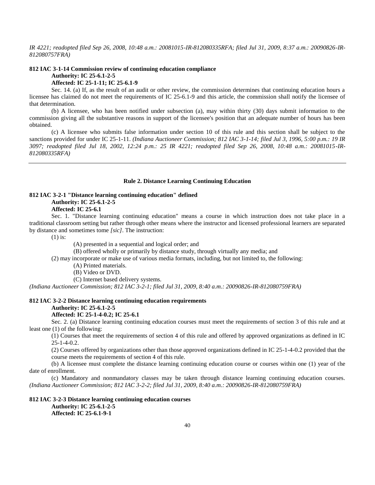*IR 4221; readopted filed Sep 26, 2008, 10:48 a.m.: 20081015-IR-812080335RFA; filed Jul 31, 2009, 8:37 a.m.: 20090826-IR-812080757FRA)*

### **812 IAC 3-1-14 Commission review of continuing education compliance**

**Authority: IC 25-6.1-2-5**

### **Affected: IC 25-1-11; IC 25-6.1-9**

Sec. 14. (a) If, as the result of an audit or other review, the commission determines that continuing education hours a licensee has claimed do not meet the requirements of IC 25-6.1-9 and this article, the commission shall notify the licensee of that determination.

(b) A licensee, who has been notified under subsection (a), may within thirty (30) days submit information to the commission giving all the substantive reasons in support of the licensee's position that an adequate number of hours has been obtained.

(c) A licensee who submits false information under section 10 of this rule and this section shall be subject to the sanctions provided for under IC 25-1-11. *(Indiana Auctioneer Commission; 812 IAC 3-1-14; filed Jul 3, 1996, 5:00 p.m.: 19 IR 3097; readopted filed Jul 18, 2002, 12:24 p.m.: 25 IR 4221; readopted filed Sep 26, 2008, 10:48 a.m.: 20081015-IR-812080335RFA)*

### **Rule 2. Distance Learning Continuing Education**

#### **812 IAC 3-2-1 "Distance learning continuing education" defined Authority: IC 25-6.1-2-5 Affected: IC 25-6.1**

Sec. 1. "Distance learning continuing education" means a course in which instruction does not take place in a traditional classroom setting but rather through other means where the instructor and licensed professional learners are separated by distance and sometimes tome *[sic]*. The instruction:

(1) is:

(A) presented in a sequential and logical order; and

(B) offered wholly or primarily by distance study, through virtually any media; and

(2) may incorporate or make use of various media formats, including, but not limited to, the following:

(A) Printed materials.

(B) Video or DVD.

(C) Internet based delivery systems.

*(Indiana Auctioneer Commission; 812 IAC 3-2-1; filed Jul 31, 2009, 8:40 a.m.: 20090826-IR-812080759FRA)*

#### **812 IAC 3-2-2 Distance learning continuing education requirements**

#### **Authority: IC 25-6.1-2-5**

### **Affected: IC 25-1-4-0.2; IC 25-6.1**

Sec. 2. (a) Distance learning continuing education courses must meet the requirements of section 3 of this rule and at least one (1) of the following:

(1) Courses that meet the requirements of section 4 of this rule and offered by approved organizations as defined in IC 25-1-4-0.2.

(2) Courses offered by organizations other than those approved organizations defined in IC 25-1-4-0.2 provided that the course meets the requirements of section 4 of this rule.

(b) A licensee must complete the distance learning continuing education course or courses within one (1) year of the date of enrollment.

(c) Mandatory and nonmandatory classes may be taken through distance learning continuing education courses. *(Indiana Auctioneer Commission; 812 IAC 3-2-2; filed Jul 31, 2009, 8:40 a.m.: 20090826-IR-812080759FRA)*

### **812 IAC 3-2-3 Distance learning continuing education courses Authority: IC 25-6.1-2-5 Affected: IC 25-6.1-9-1**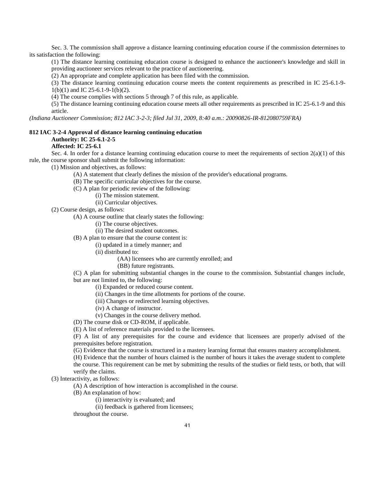Sec. 3. The commission shall approve a distance learning continuing education course if the commission determines to its satisfaction the following:

(1) The distance learning continuing education course is designed to enhance the auctioneer's knowledge and skill in providing auctioneer services relevant to the practice of auctioneering.

(2) An appropriate and complete application has been filed with the commission.

(3) The distance learning continuing education course meets the content requirements as prescribed in IC 25-6.1-9- 1(b)(1) and IC 25-6.1-9-1(b)(2).

(4) The course complies with sections 5 through 7 of this rule, as applicable.

(5) The distance learning continuing education course meets all other requirements as prescribed in IC 25-6.1-9 and this article.

*(Indiana Auctioneer Commission; 812 IAC 3-2-3; filed Jul 31, 2009, 8:40 a.m.: 20090826-IR-812080759FRA)*

### **812 IAC 3-2-4 Approval of distance learning continuing education Authority: IC 25-6.1-2-5**

### **Affected: IC 25-6.1**

Sec. 4. In order for a distance learning continuing education course to meet the requirements of section  $2(a)(1)$  of this rule, the course sponsor shall submit the following information:

(1) Mission and objectives, as follows:

(A) A statement that clearly defines the mission of the provider's educational programs.

- (B) The specific curricular objectives for the course.
- (C) A plan for periodic review of the following:

(i) The mission statement.

(ii) Curricular objectives.

(2) Course design, as follows:

(A) A course outline that clearly states the following:

(i) The course objectives.

(ii) The desired student outcomes.

(B) A plan to ensure that the course content is:

(i) updated in a timely manner; and

(ii) distributed to:

(AA) licensees who are currently enrolled; and

(BB) future registrants.

(C) A plan for submitting substantial changes in the course to the commission. Substantial changes include, but are not limited to, the following:

(i) Expanded or reduced course content.

(ii) Changes in the time allotments for portions of the course.

(iii) Changes or redirected learning objectives.

(iv) A change of instructor.

(v) Changes in the course delivery method.

(D) The course disk or CD-ROM, if applicable.

(E) A list of reference materials provided to the licensees.

(F) A list of any prerequisites for the course and evidence that licensees are properly advised of the prerequisites before registration.

(G) Evidence that the course is structured in a mastery learning format that ensures mastery accomplishment.

(H) Evidence that the number of hours claimed is the number of hours it takes the average student to complete the course. This requirement can be met by submitting the results of the studies or field tests, or both, that will verify the claims.

(3) Interactivity, as follows:

(A) A description of how interaction is accomplished in the course.

(B) An explanation of how:

(i) interactivity is evaluated; and

(ii) feedback is gathered from licensees;

throughout the course.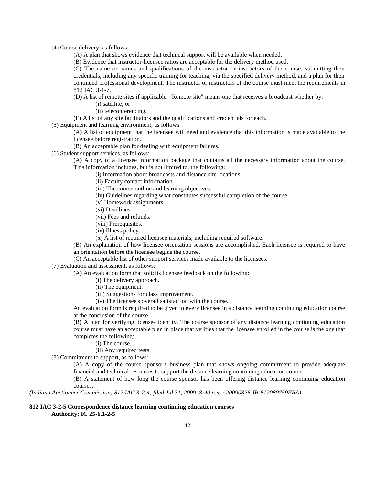(4) Course delivery, as follows:

- (A) A plan that shows evidence that technical support will be available when needed.
- (B) Evidence that instructor-licensee ratios are acceptable for the delivery method used.

(C) The name or names and qualifications of the instructor or instructors of the course, submitting their credentials, including any specific training for teaching, via the specified delivery method, and a plan for their continued professional development. The instructor or instructors of the course must meet the requirements in 812 IAC 3-1-7.

(D) A list of remote sites if applicable. "Remote site" means one that receives a broadcast whether by:

(i) satellite; or

(ii) teleconferencing.

(E) A list of any site facilitators and the qualifications and credentials for each.

(5) Equipment and learning environment, as follows:

(A) A list of equipment that the licensee will need and evidence that this information is made available to the licensee before registration.

(B) An acceptable plan for dealing with equipment failures.

(6) Student support services, as follows:

(A) A copy of a licensee information package that contains all the necessary information about the course. This information includes, but is not limited to, the following:

(i) Information about broadcasts and distance site locations.

(ii) Faculty contact information.

- (iii) The course outline and learning objectives.
- (iv) Guidelines regarding what constitutes successful completion of the course.

(v) Homework assignments.

(vi) Deadlines.

(vii) Fees and refunds.

(viii) Prerequisites.

(ix) Illness policy.

(x) A list of required licensee materials, including required software.

(B) An explanation of how licensee orientation sessions are accomplished. Each licensee is required to have an orientation before the licensee begins the course.

(C) An acceptable list of other support services made available to the licensees.

(7) Evaluation and assessment, as follows:

(A) An evaluation form that solicits licensee feedback on the following:

- (i) The delivery approach.
- (ii) The equipment.
- (iii) Suggestions for class improvement.

(iv) The licensee's overall satisfaction with the course.

An evaluation form is required to be given to every licensee in a distance learning continuing education course at the conclusion of the course.

(B) A plan for verifying licensee identity. The course sponsor of any distance learning continuing education course must have an acceptable plan in place that verifies that the licensee enrolled in the course is the one that completes the following:

(i) The course.

(ii) Any required tests.

(8) Commitment to support, as follows:

(A) A copy of the course sponsor's business plan that shows ongoing commitment to provide adequate financial and technical resources to support the distance learning continuing education course.

(B) A statement of how long the course sponsor has been offering distance learning continuing education courses.

*(Indiana Auctioneer Commission; 812 IAC 3-2-4; filed Jul 31, 2009, 8:40 a.m.: 20090826-IR-812080759FRA)*

### **812 IAC 3-2-5 Correspondence distance learning continuing education courses**

**Authority: IC 25-6.1-2-5**